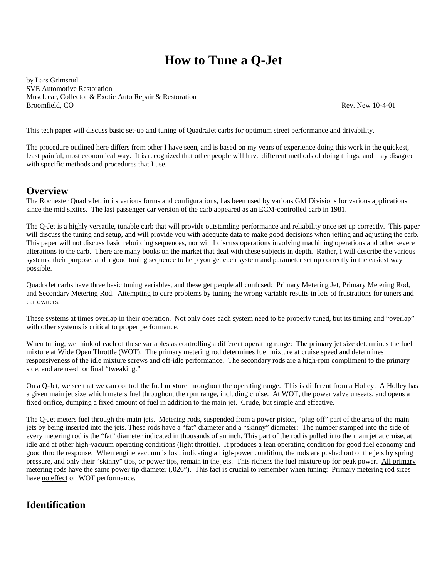# **How to Tune a Q-Jet**

by Lars Grimsrud SVE Automotive Restoration Musclecar, Collector & Exotic Auto Repair & Restoration Broomfield, CO Rev. New 10-4-01

This tech paper will discuss basic set-up and tuning of QuadraJet carbs for optimum street performance and drivability.

The procedure outlined here differs from other I have seen, and is based on my years of experience doing this work in the quickest, least painful, most economical way. It is recognized that other people will have different methods of doing things, and may disagree with specific methods and procedures that I use.

## **Overview**

The Rochester QuadraJet, in its various forms and configurations, has been used by various GM Divisions for various applications since the mid sixties. The last passenger car version of the carb appeared as an ECM-controlled carb in 1981.

The Q-Jet is a highly versatile, tunable carb that will provide outstanding performance and reliability once set up correctly. This paper will discuss the tuning and setup, and will provide you with adequate data to make good decisions when jetting and adjusting the carb. This paper will not discuss basic rebuilding sequences, nor will I discuss operations involving machining operations and other severe alterations to the carb. There are many books on the market that deal with these subjects in depth. Rather, I will describe the various systems, their purpose, and a good tuning sequence to help you get each system and parameter set up correctly in the easiest way possible.

QuadraJet carbs have three basic tuning variables, and these get people all confused: Primary Metering Jet, Primary Metering Rod, and Secondary Metering Rod. Attempting to cure problems by tuning the wrong variable results in lots of frustrations for tuners and car owners.

These systems at times overlap in their operation. Not only does each system need to be properly tuned, but its timing and "overlap" with other systems is critical to proper performance.

When tuning, we think of each of these variables as controlling a different operating range: The primary jet size determines the fuel mixture at Wide Open Throttle (WOT). The primary metering rod determines fuel mixture at cruise speed and determines responsiveness of the idle mixture screws and off-idle performance. The secondary rods are a high-rpm compliment to the primary side, and are used for final "tweaking."

On a Q-Jet, we see that we can control the fuel mixture throughout the operating range. This is different from a Holley: A Holley has a given main jet size which meters fuel throughout the rpm range, including cruise. At WOT, the power valve unseats, and opens a fixed orifice, dumping a fixed amount of fuel in addition to the main jet. Crude, but simple and effective.

The Q-Jet meters fuel through the main jets. Metering rods, suspended from a power piston, "plug off" part of the area of the main jets by being inserted into the jets. These rods have a "fat" diameter and a "skinny" diameter: The number stamped into the side of every metering rod is the "fat" diameter indicated in thousands of an inch. This part of the rod is pulled into the main jet at cruise, at idle and at other high-vacuum operating conditions (light throttle). It produces a lean operating condition for good fuel economy and good throttle response. When engine vacuum is lost, indicating a high-power condition, the rods are pushed out of the jets by spring pressure, and only their "skinny" tips, or power tips, remain in the jets. This richens the fuel mixture up for peak power. All primary metering rods have the same power tip diameter (.026"). This fact is crucial to remember when tuning: Primary metering rod sizes have no effect on WOT performance.

## **Identification**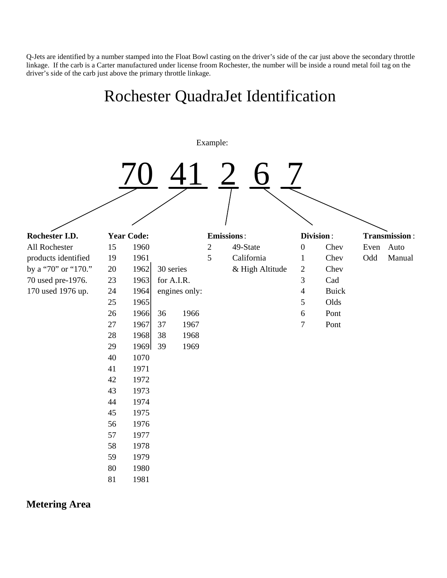Q-Jets are identified by a number stamped into the Float Bowl casting on the driver's side of the car just above the secondary throttle linkage. If the carb is a Carter manufactured under license froom Rochester, the number will be inside a round metal foil tag on the driver's side of the carb just above the primary throttle linkage.



**Metering Area**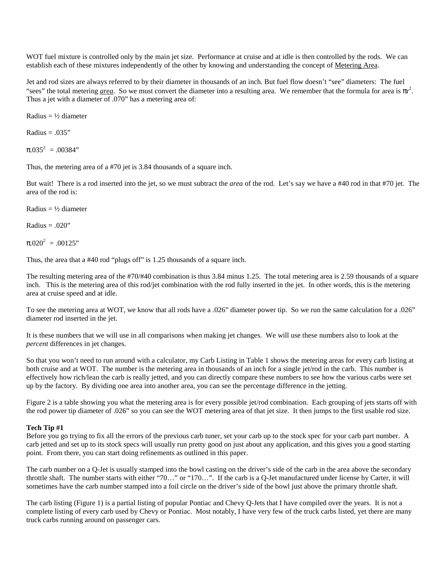WOT fuel mixture is controlled only by the main jet size. Performance at cruise and at idle is then controlled by the rods. We can establish each of these mixtures independently of the other by knowing and understanding the concept of Metering Area.

Jet and rod sizes are always referred to by their diameter in thousands of an inch. But fuel flow doesn't "see" diameters: The fuel "sees" the total metering *area*. So we must convert the diameter into a resulting area. We remember that the formula for area is  $\pi r^2$ . Thus a jet with a diameter of .070" has a metering area of:

Radius =  $\frac{1}{2}$  diameter

 $Radius = .035"$ 

 $\pi$ .035<sup>2</sup> = .00384"

Thus, the metering area of a #70 jet is 3.84 thousands of a square inch.

But wait! There is a rod inserted into the jet, so we must subtract the *area* of the rod. Let's say we have a #40 rod in that #70 jet. The area of the rod is:

Radius =  $\frac{1}{2}$  diameter

Radius  $= .020$ "

 $\pi$ .020<sup>2</sup> = 00125"

Thus, the area that a #40 rod "plugs off" is 1.25 thousands of a square inch.

The resulting metering area of the #70/#40 combination is thus 3.84 minus 1.25. The total metering area is 2.59 thousands of a square inch. This is the metering area of this rod/jet combination with the rod fully inserted in the jet. In other words, this is the metering area at cruise speed and at idle.

To see the metering area at WOT, we know that all rods have a .026" diameter power tip. So we run the same calculation for a .026" diameter rod inserted in the jet.

It is these numbers that we will use in all comparisons when making jet changes. We will use these numbers also to look at the *percent* differences in jet changes.

So that you won't need to run around with a calculator, my Carb Listing in Table 1 shows the metering areas for every carb listing at both cruise and at WOT. The number is the metering area in thousands of an inch for a single jet/rod in the carb. This number is effectively how rich/lean the carb is really jetted, and you can directly compare these numbers to see how the various carbs were set up by the factory. By dividing one area into another area, you can see the percentage difference in the jetting.

Figure 2 is a table showing you what the metering area is for every possible jet/rod combination. Each grouping of jets starts off with the rod power tip diameter of .026" so you can see the WOT metering area of that jet size. It then jumps to the first usable rod size.

#### **Tech Tip #1**

Before you go trying to fix all the errors of the previous carb tuner, set your carb up to the stock spec for your carb part number. A carb jetted and set up to its stock specs will usually run pretty good on just about any application, and this gives you a good starting point. From there, you can start doing refinements as outlined in this paper.

The carb number on a Q-Jet is usually stamped into the bowl casting on the driver's side of the carb in the area above the secondary throttle shaft. The number starts with either "70…" or "170…". If the carb is a Q-Jet manufactured under license by Carter, it will sometimes have the carb number stamped into a foil circle on the driver's side of the bowl just above the primary throttle shaft.

The carb listing (Figure 1) is a partial listing of popular Pontiac and Chevy Q-Jets that I have compiled over the years. It is not a complete listing of every carb used by Chevy or Pontiac. Most notably, I have very few of the truck carbs listed, yet there are many truck carbs running around on passenger cars.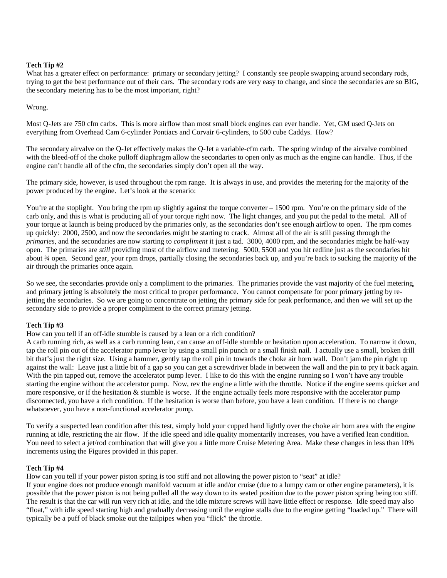#### **Tech Tip #2**

What has a greater effect on performance: primary or secondary jetting? I constantly see people swapping around secondary rods, trying to get the best performance out of their cars. The secondary rods are very easy to change, and since the secondaries are so BIG, the secondary metering has to be the most important, right?

#### Wrong.

Most Q-Jets are 750 cfm carbs. This is more airflow than most small block engines can ever handle. Yet, GM used Q-Jets on everything from Overhead Cam 6-cylinder Pontiacs and Corvair 6-cylinders, to 500 cube Caddys. How?

The secondary airvalve on the Q-Jet effectively makes the Q-Jet a variable-cfm carb. The spring windup of the airvalve combined with the bleed-off of the choke pulloff diaphragm allow the secondaries to open only as much as the engine can handle. Thus, if the engine can't handle all of the cfm, the secondaries simply don't open all the way.

The primary side, however, is used throughout the rpm range. It is always in use, and provides the metering for the majority of the power produced by the engine. Let's look at the scenario:

You're at the stoplight. You bring the rpm up slightly against the torque converter – 1500 rpm. You're on the primary side of the carb only, and this is what is producing all of your torque right now. The light changes, and you put the pedal to the metal. All of your torque at launch is being produced by the primaries only, as the secondaries don't see enough airflow to open. The rpm comes up quickly: 2000, 2500, and now the secondaries might be starting to crack. Almost all of the air is still passing through the *primaries*, and the secondaries are now starting to *compliment* it just a tad. 3000, 4000 rpm, and the secondaries might be half-way open. The primaries are *still* providing most of the airflow and metering. 5000, 5500 and you hit redline just as the secondaries hit about ¾ open. Second gear, your rpm drops, partially closing the secondaries back up, and you're back to sucking the majority of the air through the primaries once again.

So we see, the secondaries provide only a compliment to the primaries. The primaries provide the vast majority of the fuel metering, and primary jetting is absolutely the most critical to proper performance. You cannot compensate for poor primary jetting by rejetting the secondaries. So we are going to concentrate on jetting the primary side for peak performance, and then we will set up the secondary side to provide a proper compliment to the correct primary jetting.

#### **Tech Tip #3**

How can you tell if an off-idle stumble is caused by a lean or a rich condition?

A carb running rich, as well as a carb running lean, can cause an off-idle stumble or hesitation upon acceleration. To narrow it down, tap the roll pin out of the accelerator pump lever by using a small pin punch or a small finish nail. I actually use a small, broken drill bit that's just the right size. Using a hammer, gently tap the roll pin in towards the choke air horn wall. Don't jam the pin right up against the wall: Leave just a little bit of a gap so you can get a screwdriver blade in between the wall and the pin to pry it back again. With the pin tapped out, remove the accelerator pump lever. I like to do this with the engine running so I won't have any trouble starting the engine without the accelerator pump. Now, rev the engine a little with the throttle. Notice if the engine seems quicker and more responsive, or if the hesitation & stumble is worse. If the engine actually feels more responsive with the accelerator pump disconnected, you have a rich condition. If the hesitation is worse than before, you have a lean condition. If there is no change whatsoever, you have a non-functional accelerator pump.

To verify a suspected lean condition after this test, simply hold your cupped hand lightly over the choke air horn area with the engine running at idle, restricting the air flow. If the idle speed and idle quality momentarily increases, you have a verified lean condition. You need to select a jet/rod combination that will give you a little more Cruise Metering Area. Make these changes in less than 10% increments using the Figures provided in this paper.

#### **Tech Tip #4**

How can you tell if your power piston spring is too stiff and not allowing the power piston to "seat" at idle?

If your engine does not produce enough manifold vacuum at idle and/or cruise (due to a lumpy cam or other engine parameters), it is possible that the power piston is not being pulled all the way down to its seated position due to the power piston spring being too stiff. The result is that the car will run very rich at idle, and the idle mixture screws will have little effect or response. Idle speed may also "float," with idle speed starting high and gradually decreasing until the engine stalls due to the engine getting "loaded up." There will typically be a puff of black smoke out the tailpipes when you "flick" the throttle.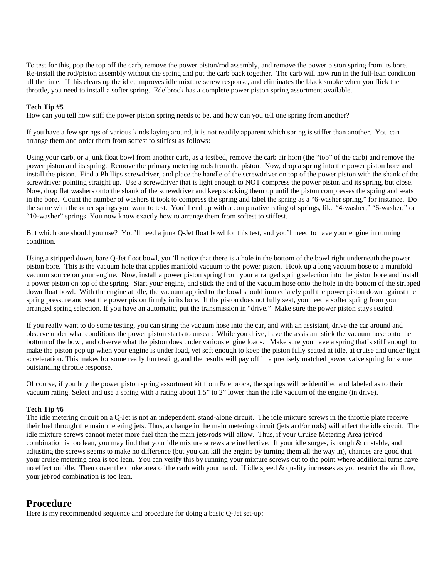To test for this, pop the top off the carb, remove the power piston/rod assembly, and remove the power piston spring from its bore. Re-install the rod/piston assembly without the spring and put the carb back together. The carb will now run in the full-lean condition all the time. If this clears up the idle, improves idle mixture screw response, and eliminates the black smoke when you flick the throttle, you need to install a softer spring. Edelbrock has a complete power piston spring assortment available.

#### **Tech Tip #5**

How can you tell how stiff the power piston spring needs to be, and how can you tell one spring from another?

If you have a few springs of various kinds laying around, it is not readily apparent which spring is stiffer than another. You can arrange them and order them from softest to stiffest as follows:

Using your carb, or a junk float bowl from another carb, as a testbed, remove the carb air horn (the "top" of the carb) and remove the power piston and its spring. Remove the primary metering rods from the piston. Now, drop a spring into the power piston bore and install the piston. Find a Phillips screwdriver, and place the handle of the screwdriver on top of the power piston with the shank of the screwdriver pointing straight up. Use a screwdriver that is light enough to NOT compress the power piston and its spring, but close. Now, drop flat washers onto the shank of the screwdriver and keep stacking them up until the piston compresses the spring and seats in the bore. Count the number of washers it took to compress the spring and label the spring as a "6-washer spring," for instance. Do the same with the other springs you want to test. You'll end up with a comparative rating of springs, like "4-washer," "6-washer," or "10-washer" springs. You now know exactly how to arrange them from softest to stiffest.

But which one should you use? You'll need a junk Q-Jet float bowl for this test, and you'll need to have your engine in running condition.

Using a stripped down, bare Q-Jet float bowl, you'll notice that there is a hole in the bottom of the bowl right underneath the power piston bore. This is the vacuum hole that applies manifold vacuum to the power piston. Hook up a long vacuum hose to a manifold vacuum source on your engine. Now, install a power piston spring from your arranged spring selection into the piston bore and install a power piston on top of the spring. Start your engine, and stick the end of the vacuum hose onto the hole in the bottom of the stripped down float bowl. With the engine at idle, the vacuum applied to the bowl should immediately pull the power piston down against the spring pressure and seat the power piston firmly in its bore. If the piston does not fully seat, you need a softer spring from your arranged spring selection. If you have an automatic, put the transmission in "drive." Make sure the power piston stays seated.

If you really want to do some testing, you can string the vacuum hose into the car, and with an assistant, drive the car around and observe under what conditions the power piston starts to unseat: While you drive, have the assistant stick the vacuum hose onto the bottom of the bowl, and observe what the piston does under various engine loads. Make sure you have a spring that's stiff enough to make the piston pop up when your engine is under load, yet soft enough to keep the piston fully seated at idle, at cruise and under light acceleration. This makes for some really fun testing, and the results will pay off in a precisely matched power valve spring for some outstanding throttle response.

Of course, if you buy the power piston spring assortment kit from Edelbrock, the springs will be identified and labeled as to their vacuum rating. Select and use a spring with a rating about 1.5" to 2" lower than the idle vacuum of the engine (in drive).

#### **Tech Tip #6**

The idle metering circuit on a Q-Jet is not an independent, stand-alone circuit. The idle mixture screws in the throttle plate receive their fuel through the main metering jets. Thus, a change in the main metering circuit (jets and/or rods) will affect the idle circuit. The idle mixture screws cannot meter more fuel than the main jets/rods will allow. Thus, if your Cruise Metering Area jet/rod combination is too lean, you may find that your idle mixture screws are ineffective. If your idle surges, is rough & unstable, and adjusting the screws seems to make no difference (but you can kill the engine by turning them all the way in), chances are good that your cruise metering area is too lean. You can verify this by running your mixture screws out to the point where additional turns have no effect on idle. Then cover the choke area of the carb with your hand. If idle speed & quality increases as you restrict the air flow, your jet/rod combination is too lean.

## **Procedure**

Here is my recommended sequence and procedure for doing a basic Q-Jet set-up: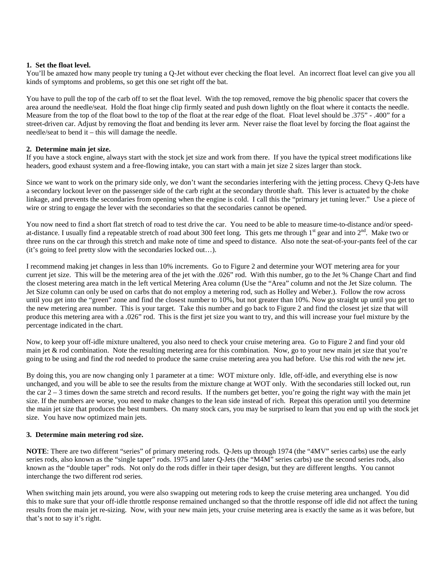#### **1. Set the float level.**

You'll be amazed how many people try tuning a Q-Jet without ever checking the float level. An incorrect float level can give you all kinds of symptoms and problems, so get this one set right off the bat.

You have to pull the top of the carb off to set the float level. With the top removed, remove the big phenolic spacer that covers the area around the needle/seat. Hold the float hinge clip firmly seated and push down lightly on the float where it contacts the needle. Measure from the top of the float bowl to the top of the float at the rear edge of the float. Float level should be .375" - .400" for a street-driven car. Adjust by removing the float and bending its lever arm. Never raise the float level by forcing the float against the needle/seat to bend it – this will damage the needle.

#### **2. Determine main jet size.**

If you have a stock engine, always start with the stock jet size and work from there. If you have the typical street modifications like headers, good exhaust system and a free-flowing intake, you can start with a main jet size 2 sizes larger than stock.

Since we want to work on the primary side only, we don't want the secondaries interfering with the jetting process. Chevy Q-Jets have a secondary lockout lever on the passenger side of the carb right at the secondary throttle shaft. This lever is actuated by the choke linkage, and prevents the secondaries from opening when the engine is cold. I call this the "primary jet tuning lever." Use a piece of wire or string to engage the lever with the secondaries so that the secondaries cannot be opened.

You now need to find a short flat stretch of road to test drive the car. You need to be able to measure time-to-distance and/or speedat-distance. I usually find a repeatable stretch of road about 300 feet long. This gets me through  $1<sup>st</sup>$  gear and into  $2<sup>nd</sup>$ . Make two or three runs on the car through this stretch and make note of time and speed to distance. Also note the seat-of-your-pants feel of the car (it's going to feel pretty slow with the secondaries locked out…).

I recommend making jet changes in less than 10% increments. Go to Figure 2 and determine your WOT metering area for your current jet size. This will be the metering area of the jet with the .026" rod. With this number, go to the Jet % Change Chart and find the closest metering area match in the left vertical Metering Area column (Use the "Area" column and not the Jet Size column. The Jet Size column can only be used on carbs that do not employ a metering rod, such as Holley and Weber.). Follow the row across until you get into the "green" zone and find the closest number to 10%, but not greater than 10%. Now go straight up until you get to the new metering area number. This is your target. Take this number and go back to Figure 2 and find the closest jet size that will produce this metering area with a .026" rod. This is the first jet size you want to try, and this will increase your fuel mixture by the percentage indicated in the chart.

Now, to keep your off-idle mixture unaltered, you also need to check your cruise metering area. Go to Figure 2 and find your old main jet & rod combination. Note the resulting metering area for this combination. Now, go to your new main jet size that you're going to be using and find the rod needed to produce the same cruise metering area you had before. Use this rod with the new jet.

By doing this, you are now changing only 1 parameter at a time: WOT mixture only. Idle, off-idle, and everything else is now unchanged, and you will be able to see the results from the mixture change at WOT only. With the secondaries still locked out, run the car  $2 - 3$  times down the same stretch and record results. If the numbers get better, you're going the right way with the main jet size. If the numbers are worse, you need to make changes to the lean side instead of rich. Repeat this operation until you determine the main jet size that produces the best numbers. On many stock cars, you may be surprised to learn that you end up with the stock jet size. You have now optimized main jets.

#### **3. Determine main metering rod size.**

**NOTE**: There are two different "series" of primary metering rods. Q-Jets up through 1974 (the "4MV" series carbs) use the early series rods, also known as the "single taper" rods. 1975 and later Q-Jets (the "M4M" series carbs) use the second series rods, also known as the "double taper" rods. Not only do the rods differ in their taper design, but they are different lengths. You cannot interchange the two different rod series.

When switching main jets around, you were also swapping out metering rods to keep the cruise metering area unchanged. You did this to make sure that your off-idle throttle response remained unchanged so that the throttle response off idle did not affect the tuning results from the main jet re-sizing. Now, with your new main jets, your cruise metering area is exactly the same as it was before, but that's not to say it's right.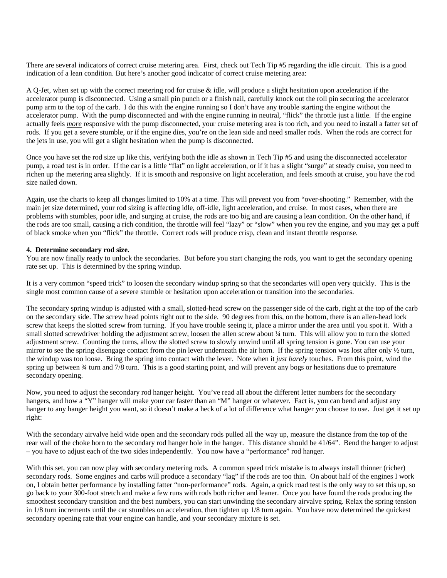There are several indicators of correct cruise metering area. First, check out Tech Tip #5 regarding the idle circuit. This is a good indication of a lean condition. But here's another good indicator of correct cruise metering area:

A Q-Jet, when set up with the correct metering rod for cruise & idle, will produce a slight hesitation upon acceleration if the accelerator pump is disconnected. Using a small pin punch or a finish nail, carefully knock out the roll pin securing the accelerator pump arm to the top of the carb. I do this with the engine running so I don't have any trouble starting the engine without the accelerator pump. With the pump disconnected and with the engine running in neutral, "flick" the throttle just a little. If the engine actually feels *more* responsive with the pump disconnected, your cruise metering area is too rich, and you need to install a fatter set of rods. If you get a severe stumble, or if the engine dies, you're on the lean side and need smaller rods. When the rods are correct for the jets in use, you will get a slight hesitation when the pump is disconnected.

Once you have set the rod size up like this, verifying both the idle as shown in Tech Tip #5 and using the disconnected accelerator pump, a road test is in order. If the car is a little "flat" on light acceleration, or if it has a slight "surge" at steady cruise, you need to richen up the metering area slightly. If it is smooth and responsive on light acceleration, and feels smooth at cruise, you have the rod size nailed down.

Again, use the charts to keep all changes limited to 10% at a time. This will prevent you from "over-shooting." Remember, with the main jet size determined, your rod sizing is affecting idle, off-idle, light acceleration, and cruise. In most cases, when there are problems with stumbles, poor idle, and surging at cruise, the rods are too big and are causing a lean condition. On the other hand, if the rods are too small, causing a rich condition, the throttle will feel "lazy" or "slow" when you rev the engine, and you may get a puff of black smoke when you "flick" the throttle. Correct rods will produce crisp, clean and instant throttle response.

#### **4. Determine secondary rod size.**

You are now finally ready to unlock the secondaries. But before you start changing the rods, you want to get the secondary opening rate set up. This is determined by the spring windup.

It is a very common "speed trick" to loosen the secondary windup spring so that the secondaries will open very quickly. This is the single most common cause of a severe stumble or hesitation upon acceleration or transition into the secondaries.

The secondary spring windup is adjusted with a small, slotted-head screw on the passenger side of the carb, right at the top of the carb on the secondary side. The screw head points right out to the side. 90 degrees from this, on the bottom, there is an allen-head lock screw that keeps the slotted screw from turning. If you have trouble seeing it, place a mirror under the area until you spot it. With a small slotted screwdriver holding the adjustment screw, loosen the allen screw about ¼ turn. This will allow you to turn the slotted adjustment screw. Counting the turns, allow the slotted screw to slowly unwind until all spring tension is gone. You can use your mirror to see the spring disengage contact from the pin lever underneath the air horn. If the spring tension was lost after only  $\frac{1}{2}$  turn, the windup was too loose. Bring the spring into contact with the lever. Note when it *just barely* touches. From this point, wind the spring up between  $\frac{3}{4}$  turn and  $\frac{7}{8}$  turn. This is a good starting point, and will prevent any bogs or hesitations due to premature secondary opening.

Now, you need to adjust the secondary rod hanger height. You've read all about the different letter numbers for the secondary hangers, and how a "Y" hanger will make your car faster than an "M" hanger or whatever. Fact is, you can bend and adjust any hanger to any hanger height you want, so it doesn't make a heck of a lot of difference what hanger you choose to use. Just get it set up right:

With the secondary airvalve held wide open and the secondary rods pulled all the way up, measure the distance from the top of the rear wall of the choke horn to the secondary rod hanger hole in the hanger. This distance should be 41/64". Bend the hanger to adjust – you have to adjust each of the two sides independently. You now have a "performance" rod hanger.

With this set, you can now play with secondary metering rods. A common speed trick mistake is to always install thinner (richer) secondary rods. Some engines and carbs will produce a secondary "lag" if the rods are too thin. On about half of the engines I work on, I obtain better performance by installing fatter "non-performance" rods. Again, a quick road test is the only way to set this up, so go back to your 300-foot stretch and make a few runs with rods both richer and leaner. Once you have found the rods producing the smoothest secondary transition and the best numbers, you can start unwinding the secondary airvalve spring. Relax the spring tension in 1/8 turn increments until the car stumbles on acceleration, then tighten up 1/8 turn again. You have now determined the quickest secondary opening rate that your engine can handle, and your secondary mixture is set.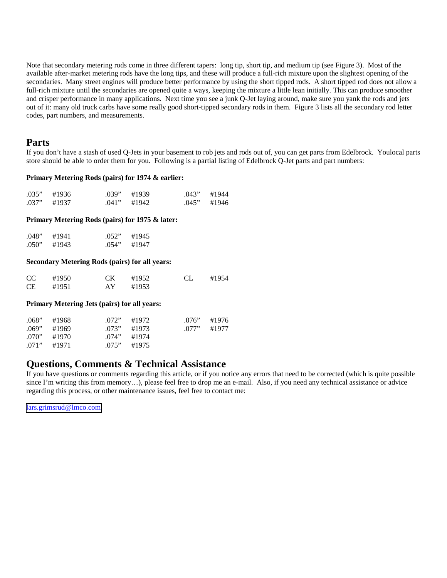Note that secondary metering rods come in three different tapers: long tip, short tip, and medium tip (see Figure 3). Most of the available after-market metering rods have the long tips, and these will produce a full-rich mixture upon the slightest opening of the secondaries. Many street engines will produce better performance by using the short tipped rods. A short tipped rod does not allow a full-rich mixture until the secondaries are opened quite a ways, keeping the mixture a little lean initially. This can produce smoother and crisper performance in many applications. Next time you see a junk Q-Jet laying around, make sure you yank the rods and jets out of it: many old truck carbs have some really good short-tipped secondary rods in them. Figure 3 lists all the secondary rod letter codes, part numbers, and measurements.

## **Parts**

If you don't have a stash of used Q-Jets in your basement to rob jets and rods out of, you can get parts from Edelbrock. Youlocal parts store should be able to order them for you. Following is a partial listing of Edelbrock Q-Jet parts and part numbers:

#### **Primary Metering Rods (pairs) for 1974 & earlier:**

| $.035"$ #1936 | $.039"$ #1939 | $.043"$ #1944 |
|---------------|---------------|---------------|
| $.037"$ #1937 | $.041"$ #1942 | $.045"$ #1946 |

#### **Primary Metering Rods (pairs) for 1975 & later:**

| .048" | #1941 | .052" | #1945 |
|-------|-------|-------|-------|
| .050" | #1943 | .054" | #1947 |

#### **Secondary Metering Rods (pairs) for all years:**

| CC <sub>c</sub> | #1950 | CK #1952 | CL. | #1954 |
|-----------------|-------|----------|-----|-------|
| CE.             | #1951 | AY #1953 |     |       |

#### **Primary Metering Jets (pairs) for all years:**

| .068" | #1968         | $.072"$ #1972 | $.076"$ #1976 |
|-------|---------------|---------------|---------------|
|       | $.069"$ #1969 | $.073"$ #1973 | $.077"$ #1977 |
| .070" | #1970         | $.074"$ #1974 |               |
|       | $.071"$ #1971 | $.075"$ #1975 |               |

## **Questions, Comments & Technical Assistance**

If you have questions or comments regarding this article, or if you notice any errors that need to be corrected (which is quite possible since I'm writing this from memory...), please feel free to drop me an e-mail. Also, if you need any technical assistance or advice regarding this process, or other maintenance issues, feel free to contact me:

[lars.grimsrud@lmco.com](mailto:lars.grimsrud@lmco.com)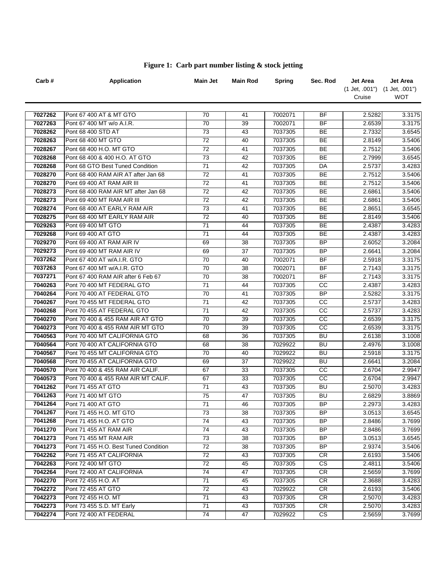| Carb#   | <b>Application</b>                    | Main Jet        | Main Rod | <b>Spring</b> | Sec. Rod        | <b>Jet Area</b>               | Jet Area |
|---------|---------------------------------------|-----------------|----------|---------------|-----------------|-------------------------------|----------|
|         |                                       |                 |          |               |                 | (1 Jet, .001") (1 Jet, .001") |          |
|         |                                       |                 |          |               |                 | Cruise                        | WOT      |
|         |                                       |                 |          |               |                 |                               |          |
| 7027262 | Pont 67 400 AT & MT GTO               | 70              | 41       | 7002071       | <b>BF</b>       | 2.5282                        | 3.3175   |
| 7027263 | Pont 67 400 MT w/o A.I.R.             | 70              | 39       | 7002071       | <b>BF</b>       | 2.6539                        | 3.3175   |
| 7028262 | Pont 68 400 STD AT                    | 73              | 43       | 7037305       | <b>BE</b>       | 2.7332                        | 3.6545   |
| 7028263 | Pont 68 400 MT GTO                    | 72              | 40       | 7037305       | BE              | 2.8149                        | 3.5406   |
| 7028267 | Pont 68 400 H.O. MT GTO               | 72              | 41       | 7037305       | BE              | 2.7512                        | 3.5406   |
| 7028268 | Pont 68 400 & 400 H.O. AT GTO         | $\overline{73}$ | 42       | 7037305       | <b>BE</b>       | 2.7999                        | 3.6545   |
| 7028268 | Pont 68 GTO Best Tuned Condition      | $\overline{71}$ | 42       | 7037305       | DA              | 2.5737                        | 3.4283   |
| 7028270 | Pont 68 400 RAM AIR AT after Jan 68   | $\overline{72}$ | 41       | 7037305       | BE              | 2.7512                        | 3.5406   |
| 7028270 | Pont 69 400 AT RAM AIR III            | $\overline{72}$ | 41       | 7037305       | BE              | 2.7512                        | 3.5406   |
| 7028273 | Pont 68 400 RAM AIR MT after Jan 68   | 72              | 42       | 7037305       | BE              | 2.6861                        | 3.5406   |
| 7028273 | Pont 69 400 MT RAM AIR III            | 72              | 42       | 7037305       | <b>BE</b>       | 2.6861                        | 3.5406   |
| 7028274 | Pont 68 400 AT EARLY RAM AIR          | 73              | 41       | 7037305       | BE              | 2.8651                        | 3.6545   |
| 7028275 | Pont 68 400 MT EARLY RAM AIR          | 72              | 40       | 7037305       | BE              | 2.8149                        | 3.5406   |
| 7029263 | Pont 69 400 MT GTO                    | 71              | 44       | 7037305       | <b>BE</b>       | 2.4387                        | 3.4283   |
| 7029268 | Pont 69 400 AT GTO                    | 71              | 44       | 7037305       | <b>BE</b>       | 2.4387                        | 3.4283   |
| 7029270 | Pont 69 400 AT RAM AIR IV             | 69              | 38       | 7037305       | <b>BP</b>       | 2.6052                        | 3.2084   |
| 7029273 | Pont 69 400 MT RAM AIR IV             | 69              | 37       | 7037305       | <b>BP</b>       | 2.6641                        | 3.2084   |
| 7037262 | Pont 67 400 AT w/A.I.R. GTO           | 70              | 40       | 7002071       | <b>BF</b>       | 2.5918                        | 3.3175   |
| 7037263 | Pont 67 400 MT w/A.I.R. GTO           | 70              | 38       | 7002071       | <b>BF</b>       | 2.7143                        | 3.3175   |
| 7037271 | Pont 67 400 RAM AIR after 6 Feb 67    | 70              | 38       | 7002071       | <b>BF</b>       | 2.7143                        | 3.3175   |
| 7040263 | Pont 70 400 MT FEDERAL GTO            | 71              | 44       | 7037305       | CC              | 2.4387                        | 3.4283   |
| 7040264 | Pont 70 400 AT FEDERAL GTO            | 70              | 41       | 7037305       | $\overline{BP}$ | 2.5282                        | 3.3175   |
| 7040267 | Pont 70 455 MT FEDERAL GTO            | $\overline{71}$ | 42       | 7037305       | CC              | 2.5737                        | 3.4283   |
| 7040268 | Pont 70 455 AT FEDERAL GTO            | $\overline{71}$ | 42       | 7037305       | $\overline{cc}$ | 2.5737                        | 3.4283   |
| 7040270 | Pont 70 400 & 455 RAM AIR AT GTO      | 70              | 39       | 7037305       | $\overline{cc}$ | 2.6539                        | 3.3175   |
| 7040273 | Pont 70 400 & 455 RAM AIR MT GTO      | 70              | 39       | 7037305       | $\overline{cc}$ | 2.6539                        | 3.3175   |
| 7040563 | Pont 70 400 MT CALIFORNIA GTO         | 68              | 36       | 7037305       | <b>BU</b>       | 2.6138                        | 3.1008   |
| 7040564 | Pont 70 400 AT CALIFORNIA GTO         | 68              | 38       | 7029922       | BU              | 2.4976                        | 3.1008   |
| 7040567 | Pont 70 455 MT CALIFORNIA GTO         | 70              | 40       | 7029922       | <b>BU</b>       | 2.5918                        | 3.3175   |
| 7040568 | Pont 70 455 AT CALIFORNIA GTO         | 69              | 37       | 7029922       | BU              | 2.6641                        | 3.2084   |
| 7040570 | Pont 70 400 & 455 RAM AIR CALIF.      | 67              | 33       | 7037305       | cc              | 2.6704                        | 2.9947   |
| 7040573 | Pont 70 400 & 455 RAM AIR MT CALIF.   | 67              | 33       | 7037305       | cc              | 2.6704                        | 2.9947   |
| 7041262 | Pont 71 455 AT GTO                    | 71              | 43       | 7037305       | <b>BU</b>       | 2.5070                        | 3.4283   |
| 7041263 | Pont 71 400 MT GTO                    | 75              | 47       | 7037305       | <b>BU</b>       | 2.6829                        | 3.8869   |
| 7041264 | Pont 71 400 AT GTO                    | $\overline{71}$ | 46       | 7037305       | <b>BP</b>       | 2.2973                        | 3.4283   |
| 7041267 | Pont 71 455 H.O. MT GTO               | 73              | 38       | 7037305       | ΒP              | 3.0513                        | 3.6545   |
| 7041268 | Pont 71 455 H.O. AT GTO               | 74              | 43       | 7037305       | ΒP              | 2.8486                        | 3.7699   |
| 7041270 | Pont 71 455 AT RAM AIR                | 74              | 43       | 7037305       | <b>BP</b>       | 2.8486                        | 3.7699   |
| 7041273 | Pont 71 455 MT RAM AIR                | 73              | 38       | 7037305       | <b>BP</b>       | 3.0513                        | 3.6545   |
| 7041273 | Pont 71 455 H.O. Best Tuned Condition | 72              | 38       | 7037305       | <b>BP</b>       | 2.9374                        | 3.5406   |
| 7042262 | Pont 71 455 AT CALIFORNIA             | 72              | 43       | 7037305       | CR              | 2.6193                        | 3.5406   |
| 7042263 | Pont 72 400 MT GTO                    | 72              | 45       | 7037305       | <b>CS</b>       | 2.4811                        | 3.5406   |
| 7042264 | Pont 72 400 AT CALIFORNIA             | 74              | 47       | 7037305       | CR              | 2.5659                        | 3.7699   |
| 7042270 | Pont 72 455 H.O. AT                   | 71              | 45       | 7037305       | CR              | 2.3688                        | 3.4283   |
| 7042272 | Pont 72 455 AT GTO                    | 72              | 43       | 7029922       | CR              | 2.6193                        | 3.5406   |
| 7042273 | Pont 72 455 H.O. MT                   | 71              | 43       | 7037305       | CR.             | 2.5070                        | 3.4283   |
| 7042273 | Pont 73 455 S.D. MT Early             | 71              | 43       | 7037305       | CR.             | 2.5070                        | 3.4283   |
| 7042274 | Pont 72 400 AT FEDERAL                | 74              | 47       | 7029922       | CS              | 2.5659                        | 3.7699   |

## **Figure 1: Carb part number listing & stock jetting**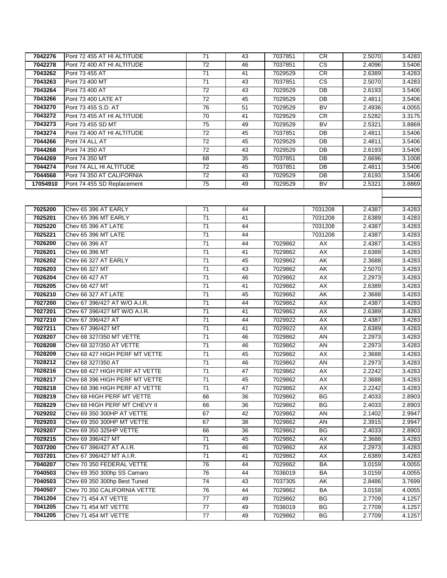| 7042276  | Pont 72 455 AT HI ALTITUDE     | 71              | 43 | 7037851 | <b>CR</b>                | 2.5070 | 3.4283 |
|----------|--------------------------------|-----------------|----|---------|--------------------------|--------|--------|
| 7042278  | Pont 72 400 AT HI ALTITUDE     | 72              | 46 | 7037851 | <b>CS</b>                | 2.4096 | 3.5406 |
| 7043262  | Pont 73 455 AT                 | 71              | 41 | 7029529 | CR                       | 2.6389 | 3.4283 |
| 7043263  | Pont 73 400 MT                 | 71              | 43 | 7037851 | <b>CS</b>                | 2.5070 | 3.4283 |
| 7043264  | Pont 73 400 AT                 | 72              | 43 | 7029529 | DB                       | 2.6193 | 3.5406 |
| 7043266  | Pont 73 400 LATE AT            | 72              | 45 | 7029529 | DB                       | 2.4811 | 3.5406 |
| 7043270  | Pont 73 455 S.D. AT            | 76              | 51 | 7029529 | <b>BV</b>                | 2.4936 | 4.0055 |
| 7043272  | Pont 73 455 AT HI ALTITUDE     | 70              | 41 | 7029529 | <b>CR</b>                | 2.5282 | 3.3175 |
| 7043273  | Pont 73 455 SD MT              | 75              | 49 | 7029529 | $\overline{\mathsf{BV}}$ | 2.5321 | 3.8869 |
| 7043274  | Pont 73 400 AT HI ALTITUDE     | 72              | 45 | 7037851 | DB                       | 2.4811 | 3.5406 |
| 7044266  | Pont 74 ALL AT                 | $\overline{72}$ | 45 | 7029529 | DB                       | 2.4811 | 3.5406 |
| 7044268  | Pont 74 350 AT                 | 72              | 43 | 7029529 | DB                       | 2.6193 | 3.5406 |
| 7044269  | Pont 74 350 MT                 | 68              | 35 | 7037851 | DB                       | 2.6696 | 3.1008 |
| 7044274  | Pont 74 ALL HI ALTITUDE        | 72              | 45 | 7037851 | DB                       | 2.4811 | 3.5406 |
| 7044568  | Pont 74 350 AT CALIFORNIA      | 72              | 43 | 7029529 | DB                       | 2.6193 | 3.5406 |
| 17054910 | Pont 74 455 SD Replacement     | 75              | 49 | 7029529 | <b>BV</b>                | 2.5321 | 3.8869 |
|          |                                |                 |    |         |                          |        |        |
|          |                                |                 |    |         |                          |        |        |
| 7025200  | Chev 65 396 AT EARLY           | 71              | 44 |         | 7031208                  | 2.4387 | 3.4283 |
| 7025201  | Chev 65 396 MT EARLY           | 71              | 41 |         | 7031208                  | 2.6389 | 3.4283 |
| 7025220  | Chev 65 396 AT LATE            | 71              | 44 |         | 7031208                  | 2.4387 | 3.4283 |
| 7025221  | Chev 65 396 MT LATE            | 71              | 44 |         | 7031208                  | 2.4387 | 3.4283 |
| 7026200  | Chev 66 396 AT                 | 71              | 44 | 7029862 | AX                       | 2.4387 | 3.4283 |
| 7026201  | Chev 66 396 MT                 | 71              | 41 | 7029862 | AX                       | 2.6389 | 3.4283 |
| 7026202  | Chev 66 327 AT EARLY           | 71              | 45 | 7029862 | AK                       | 2.3688 | 3.4283 |
| 7026203  | Chev 66 327 MT                 | 71              | 43 | 7029862 | AK                       | 2.5070 | 3.4283 |
| 7026204  | Chev 66 427 AT                 | 71              | 46 | 7029862 | AX                       | 2.2973 | 3.4283 |
| 7026205  | Chev 66 427 MT                 | 71              | 41 | 7029862 | AX                       | 2.6389 | 3.4283 |
| 7026210  | Chev 66 327 AT LATE            | 71              | 45 | 7029862 | AK                       | 2.3688 | 3.4283 |
| 7027200  | Chev 67 396/427 AT W/O A.I.R.  | 71              | 44 | 7029862 | AX                       | 2.4387 | 3.4283 |
| 7027201  | Chev 67 396/427 MT W/O A.I.R.  | 71              | 41 | 7029862 | AX                       | 2.6389 | 3.4283 |
| 7027210  | Chev 67 396/427 AT             | 71              | 44 | 7029922 | AX                       | 2.4387 | 3.4283 |
| 7027211  | Chev 67 396/427 MT             | 71              | 41 | 7029922 | AX                       | 2.6389 | 3.4283 |
| 7028207  | Chev 68 327/350 MT VETTE       | 71              | 46 | 7029862 | AN                       | 2.2973 | 3.4283 |
| 7028208  | Chev 68 327/350 AT VETTE       | 71              | 46 | 7029862 | AN                       | 2.2973 | 3.4283 |
| 7028209  | Chev 68 427 HIGH PERF MT VETTE | 71              | 45 | 7029862 | AX                       | 2.3688 | 3.4283 |
| 7028212  | Chev 68 327/350 AT             | 71              | 46 | 7029862 | AN                       | 2.2973 | 3.4283 |
| 7028216  | Chev 68 427 HIGH PERF AT VETTE | 71              | 47 | 7029862 | AX                       | 2.2242 | 3.4283 |
| 7028217  | Chev 68 396 HIGH PERF MT VETTE | $\overline{71}$ | 45 | 7029862 | AX                       | 2.3688 | 3.4283 |
| 7028218  | Chev 68 396 HIGH PERF AT VETTE | 71              | 47 | 7029862 | AX                       | 2.2242 | 3.4283 |
| 7028219  | Chev 68 HIGH PERF MT VETTE     | 66              | 36 | 7029862 | ΒG                       | 2.4033 | 2.8903 |
| 7028229  | Chev 68 HIGH PERF MT CHEVY II  | 66              | 36 | 7029862 | ΒG                       | 2.4033 | 2.8903 |
| 7029202  | Chev 69 350 300HP AT VETTE     | 67              | 42 | 7029862 | AN                       | 2.1402 | 2.9947 |
| 7029203  | Chev 69 350 300HP MT VETTE     | 67              | 38 | 7029862 | AN                       | 2.3915 | 2.9947 |
| 7029207  | Chev 69 350 325HP VETTE        | 66              | 36 | 7029862 | BG                       | 2.4033 | 2.8903 |
| 7029215  | Chev 69 396/427 MT             | 71              | 45 | 7029862 | АX                       | 2.3688 | 3.4283 |
| 7037200  | Chev 67 396/427 AT A.I.R.      | 71              | 46 | 7029862 | AX                       | 2.2973 | 3.4283 |
| 7037201  | Chev 67 396/427 MT A.I.R.      | 71              | 41 | 7029862 | АX                       | 2.6389 | 3.4283 |
| 7040207  | Chev 70 350 FEDERAL VETTE      | 76              | 44 | 7029862 | BA                       | 3.0159 | 4.0055 |
| 7040503  | Chev 69 350 300hp SS Camaro    | 76              | 44 | 7036019 | BA                       | 3.0159 | 4.0055 |
| 7040503  | Chev 69 350 300hp Best Tuned   | 74              | 43 | 7037305 | AΚ                       | 2.8486 | 3.7699 |
| 7040507  | Chev 70 350 CALIFORNIA VETTE   | 76              | 44 | 7029862 | BA                       | 3.0159 | 4.0055 |
| 7041204  | Chev 71 454 AT VETTE           | 77              | 49 | 7029862 | ВG                       | 2.7709 | 4.1257 |
| 7041205  | Chev 71 454 MT VETTE           | 77              | 49 | 7036019 | <b>BG</b>                | 2.7709 | 4.1257 |
| 7041205  | Chev 71 454 MT VETTE           | 77              | 49 | 7029862 | BG                       | 2.7709 | 4.1257 |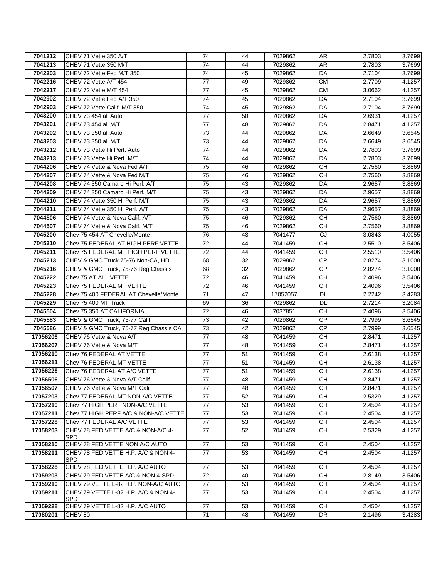| 7041212  | CHEV 71 Vette 350 A/T                              | 74              | 44 | 7029862  | AR              | 2.7803 | 3.7699 |
|----------|----------------------------------------------------|-----------------|----|----------|-----------------|--------|--------|
| 7041213  | CHEV 71 Vette 350 M/T                              | 74              | 44 | 7029862  | AR              | 2.7803 | 3.7699 |
| 7042203  | CHEV 72 Vette Fed M/T 350                          | 74              | 45 | 7029862  | DA              | 2.7104 | 3.7699 |
| 7042216  | CHEV 72 Vette A/T 454                              | 77              | 49 | 7029862  | <b>CM</b>       | 2.7709 | 4.1257 |
| 7042217  | CHEV 72 Vette M/T 454                              | 77              | 45 | 7029862  | <b>CM</b>       | 3.0662 | 4.1257 |
| 7042902  | CHEV 72 Vette Fed A/T 350                          | $\overline{74}$ | 45 | 7029862  | DA              | 2.7104 | 3.7699 |
| 7042903  | CHEV 72 Vette Calif. M/T 350                       | 74              | 45 | 7029862  | DA              | 2.7104 | 3.7699 |
| 7043200  | CHEV 73 454 all Auto                               | $\overline{77}$ | 50 | 7029862  | DA              | 2.6931 | 4.1257 |
| 7043201  | CHEV 73 454 all M/T                                | $\overline{77}$ | 48 | 7029862  | $\overline{DA}$ | 2.8471 | 4.1257 |
| 7043202  | CHEV 73 350 all Auto                               | 73              | 44 | 7029862  | DA              | 2.6649 | 3.6545 |
| 7043203  | CHEV 73 350 all M/T                                | $\overline{73}$ | 44 | 7029862  | DA              | 2.6649 | 3.6545 |
| 7043212  | CHEV 73 Vette Hi Perf. Auto                        | 74              | 44 | 7029862  | DA              | 2.7803 | 3.7699 |
| 7043213  | CHEV 73 Vette Hi Perf. M/T                         | 74              | 44 | 7029862  | <b>DA</b>       | 2.7803 | 3.7699 |
| 7044206  | CHEV 74 Vette & Nova Fed A/T                       | 75              | 46 | 7029862  | <b>CH</b>       | 2.7560 | 3.8869 |
| 7044207  | CHEV 74 Vette & Nova Fed M/T                       | $\overline{75}$ | 46 | 7029862  | <b>CH</b>       | 2.7560 | 3.8869 |
| 7044208  | CHEV 74 350 Camaro Hi Perf. A/T                    | 75              | 43 | 7029862  | DA              | 2.9657 | 3.8869 |
| 7044209  | CHEV 74 350 Camaro Hi Perf. M/T                    | $\overline{75}$ | 43 | 7029862  | DA              | 2.9657 | 3.8869 |
| 7044210  | CHEV 74 Vette 350 Hi Perf. M/T                     | 75              | 43 | 7029862  | DA              | 2.9657 | 3.8869 |
| 7044211  | CHEV 74 Vette 350 Hi Perf. A/T                     | 75              | 43 | 7029862  | DA              | 2.9657 | 3.8869 |
| 7044506  | CHEV 74 Vette & Nova Calif. A/T                    | 75              | 46 | 7029862  | <b>CH</b>       | 2.7560 | 3.8869 |
| 7044507  | CHEV 74 Vette & Nova Calif. M/T                    | 75              | 46 | 7029862  | <b>CH</b>       | 2.7560 | 3.8869 |
| 7045200  | Chev 75 454 AT Chevelle/Monte                      | 76              | 43 | 7041477  | CJ              | 3.0843 | 4.0055 |
| 7045210  | Chev 75 FEDERAL AT HIGH PERF VETTE                 | $\overline{72}$ | 44 | 7041459  | <b>CH</b>       | 2.5510 | 3.5406 |
| 7045211  | Chev 75 FEDERAL MT HIGH PERF VETTE                 | $\overline{72}$ | 44 | 7041459  | $\overline{CH}$ | 2.5510 | 3.5406 |
| 7045213  | CHEV & GMC Truck 75-76 Non-CA, HD                  | 68              | 32 | 7029862  | CP              | 2.8274 | 3.1008 |
| 7045216  | CHEV & GMC Truck, 75-76 Reg Chassis                | 68              | 32 | 7029862  | CP              | 2.8274 | 3.1008 |
| 7045222  | Chev 75 AT ALL VETTE                               | $\overline{72}$ | 46 | 7041459  | $\overline{CH}$ | 2.4096 | 3.5406 |
| 7045223  | Chev 75 FEDERAL MT VETTE                           | $\overline{72}$ | 46 | 7041459  | <b>CH</b>       | 2.4096 | 3.5406 |
| 7045228  | Chev 75 400 FEDERAL AT Chevelle/Monte              | 71              | 47 | 17052057 | DL              | 2.2242 | 3.4283 |
| 7045229  | Chev 75 400 MT Truck                               | 69              | 36 | 7029862  | <b>DL</b>       | 2.7214 | 3.2084 |
| 7045504  | Chev 75 350 AT CALIFORNIA                          | 72              | 46 | 7037851  | <b>CH</b>       | 2.4096 | 3.5406 |
| 7045583  | CHEV & GMC Truck, 75-77 Calif.                     | 73              | 42 | 7029862  | CP              | 2.7999 | 3.6545 |
| 7045586  | CHEV & GMC Truck, 75-77 Reg Chassis CA             | 73              | 42 | 7029862  | <b>CP</b>       | 2.7999 | 3.6545 |
| 17056206 | CHEV 76 Vette & Nova A/T                           | $\overline{77}$ | 48 | 7041459  | CH              | 2.8471 | 4.1257 |
| 17056207 | CHEV 76 Vette & Nova M/T                           | 77              | 48 | 7041459  | <b>CH</b>       | 2.8471 | 4.1257 |
| 17056210 | Chev 76 FEDERAL AT VETTE                           | $\overline{77}$ | 51 | 7041459  | <b>CH</b>       | 2.6138 | 4.1257 |
| 17056211 | Chev 76 FEDERAL MT VETTE                           | 77              | 51 | 7041459  | <b>CH</b>       | 2.6138 | 4.1257 |
| 17056226 | Chev 76 FEDERAL AT A/C VETTE                       | 77              | 51 | 7041459  | <b>CH</b>       | 2.6138 | 4.1257 |
| 17056506 | CHEV 76 Vette & Nova A/T Calif                     | $\overline{77}$ | 48 | 7041459  | CH              | 2.8471 | 4.1257 |
| 17056507 | ICHEV 76 Vette & Nova M/T Calif                    | 77              | 48 | 7041459  | <b>CH</b>       | 2.8471 | 4.1257 |
| 17057203 | Chev 77 FEDERAL MT NON-A/C VETTE                   | 77              | 52 | 7041459  | CН              | 2.5329 | 4.1257 |
| 17057210 | Chev 77 HIGH PERF NON-A/C VETTE                    | 77              | 53 | 7041459  | <b>CH</b>       | 2.4504 | 4.1257 |
| 17057211 | Chev 77 HIGH PERF A/C & NON-A/C VETTE              | 77              | 53 | 7041459  | <b>CH</b>       | 2.4504 | 4.1257 |
| 17057228 | Chev 77 FEDERAL A/C VETTE                          | 77              | 53 | 7041459  | CH              | 2.4504 | 4.1257 |
| 17058203 | CHEV 78 FED VETTE A/C & NON-A/C 4-<br><b>SPD</b>   | 77              | 52 | 7041459  | <b>CH</b>       | 2.5329 | 4.1257 |
| 17058210 | CHEV 78 FED VETTE NON A/C AUTO                     | 77              | 53 | 7041459  | <b>CH</b>       | 2.4504 | 4.1257 |
| 17058211 | CHEV 78 FED VETTE H.P. A/C & NON 4-<br>SPD         | 77              | 53 | 7041459  | <b>CH</b>       | 2.4504 | 4.1257 |
| 17058228 | CHEV 78 FED VETTE H.P. A/C AUTO                    | 77              | 53 | 7041459  | <b>CH</b>       | 2.4504 | 4.1257 |
| 17059203 | CHEV 79 FED VETTE A/C & NON 4-SPD                  | 72              | 40 | 7041459  | <b>CH</b>       | 2.8149 | 3.5406 |
| 17059210 | CHEV 79 VETTE L-82 H.P. NON-A/C AUTO               | 77              | 53 | 7041459  | CН              | 2.4504 | 4.1257 |
| 17059211 | CHEV 79 VETTE L-82 H.P. A/C & NON 4-<br><b>SPD</b> | 77              | 53 | 7041459  | CН              | 2.4504 | 4.1257 |
| 17059228 | CHEV 79 VETTE L-82 H.P. A/C AUTO                   | 77              | 53 | 7041459  | <b>CH</b>       | 2.4504 | 4.1257 |
| 17080201 | CHEV 80                                            | 71              | 48 | 7041459  | <b>DR</b>       | 2.1496 | 3.4283 |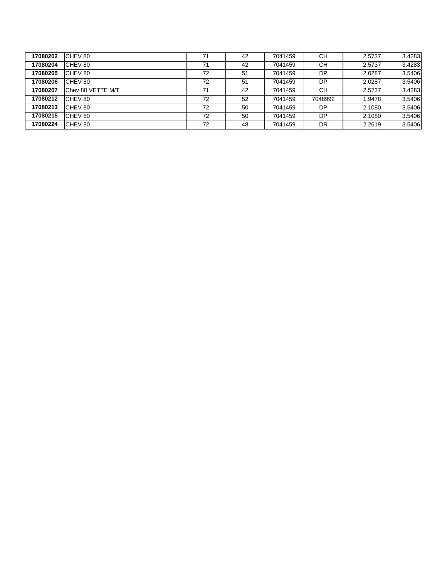| 17080202 | CHEV 80           | 71 | 42 | 7041459 | CН      | 2.5737 | 3.4283 |
|----------|-------------------|----|----|---------|---------|--------|--------|
| 17080204 | CHEV 80           | 71 | 42 | 7041459 | CН      | 2.5737 | 3.4283 |
| 17080205 | CHEV 80           | 72 | 51 | 7041459 | DP      | 2.0287 | 3.5406 |
| 17080206 | CHEV 80           | 72 | 51 | 7041459 | DP      | 2.0287 | 3.5406 |
| 17080207 | Chev 80 VETTE M/T | 71 | 42 | 7041459 | CН      | 2.5737 | 3.4283 |
| 17080212 | CHEV 80           | 72 | 52 | 7041459 | 7048992 | 1.9478 | 3.5406 |
| 17080213 | CHEV 80           | 72 | 50 | 7041459 | DP      | 2.1080 | 3.5406 |
| 17080215 | CHEV 80           | 72 | 50 | 7041459 | DP      | 2.1080 | 3.5406 |
| 17080224 | CHEV 80           | 72 | 48 | 7041459 | DR      | 2.2619 | 3.5406 |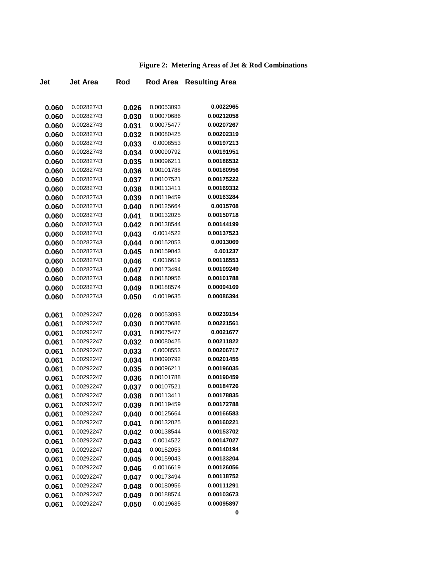## **Figure 2: Metering Areas of Jet & Rod Combinations**

| Jet   | <b>Jet Area</b> | Rod   | <b>Rod Area</b> | <b>Resulting Area</b>    |
|-------|-----------------|-------|-----------------|--------------------------|
|       |                 |       |                 |                          |
| 0.060 | 0.00282743      | 0.026 | 0.00053093      | 0.0022965                |
| 0.060 | 0.00282743      | 0.030 | 0.00070686      | 0.00212058               |
| 0.060 | 0.00282743      | 0.031 | 0.00075477      | 0.00207267               |
| 0.060 | 0.00282743      | 0.032 | 0.00080425      | 0.00202319               |
| 0.060 | 0.00282743      | 0.033 | 0.0008553       | 0.00197213               |
| 0.060 | 0.00282743      | 0.034 | 0.00090792      | 0.00191951               |
| 0.060 | 0.00282743      | 0.035 | 0.00096211      | 0.00186532               |
| 0.060 | 0.00282743      | 0.036 | 0.00101788      | 0.00180956               |
| 0.060 | 0.00282743      | 0.037 | 0.00107521      | 0.00175222               |
| 0.060 | 0.00282743      | 0.038 | 0.00113411      | 0.00169332               |
| 0.060 | 0.00282743      | 0.039 | 0.00119459      | 0.00163284               |
| 0.060 | 0.00282743      | 0.040 | 0.00125664      | 0.0015708                |
| 0.060 | 0.00282743      | 0.041 | 0.00132025      | 0.00150718               |
| 0.060 | 0.00282743      | 0.042 | 0.00138544      | 0.00144199               |
| 0.060 | 0.00282743      | 0.043 | 0.0014522       | 0.00137523               |
| 0.060 | 0.00282743      | 0.044 | 0.00152053      | 0.0013069                |
| 0.060 | 0.00282743      | 0.045 | 0.00159043      | 0.001237                 |
| 0.060 | 0.00282743      | 0.046 | 0.0016619       | 0.00116553               |
| 0.060 | 0.00282743      | 0.047 | 0.00173494      | 0.00109249               |
| 0.060 | 0.00282743      | 0.048 | 0.00180956      | 0.00101788               |
| 0.060 | 0.00282743      | 0.049 | 0.00188574      | 0.00094169               |
| 0.060 | 0.00282743      | 0.050 | 0.0019635       | 0.00086394               |
| 0.061 | 0.00292247      | 0.026 | 0.00053093      | 0.00239154               |
| 0.061 | 0.00292247      | 0.030 | 0.00070686      | 0.00221561               |
| 0.061 | 0.00292247      | 0.031 | 0.00075477      | 0.0021677                |
| 0.061 | 0.00292247      | 0.032 | 0.00080425      | 0.00211822               |
| 0.061 | 0.00292247      | 0.033 | 0.0008553       | 0.00206717               |
| 0.061 | 0.00292247      | 0.034 | 0.00090792      | 0.00201455               |
| 0.061 | 0.00292247      | 0.035 | 0.00096211      | 0.00196035               |
| 0.061 | 0.00292247      | 0.036 | 0.00101788      | 0.00190459               |
| 0.061 | 0.00292247      | 0.037 | 0.00107521      | 0.00184726               |
| 0.061 | 0.00292247      | 0.038 | 0.00113411      | 0.00178835               |
| 0.061 | 0.00292247      | 0.039 | 0.00119459      | 0.00172788               |
| 0.061 | 0.00292247      | 0.040 | 0.00125664      | 0.00166583               |
| 0.061 | 0.00292247      | 0.041 | 0.00132025      | 0.00160221               |
| 0.061 | 0.00292247      | 0.042 | 0.00138544      | 0.00153702               |
| 0.061 | 0.00292247      | 0.043 | 0.0014522       | 0.00147027               |
| 0.061 | 0.00292247      | 0.044 | 0.00152053      | 0.00140194               |
| 0.061 | 0.00292247      | 0.045 | 0.00159043      | 0.00133204               |
| 0.061 | 0.00292247      | 0.046 | 0.0016619       | 0.00126056               |
| 0.061 | 0.00292247      | 0.047 | 0.00173494      | 0.00118752               |
| 0.061 | 0.00292247      | 0.048 | 0.00180956      | 0.00111291<br>0.00103673 |
| 0.061 | 0.00292247      | 0.049 | 0.00188574      |                          |
| 0.061 | 0.00292247      | 0.050 | 0.0019635       | 0.00095897               |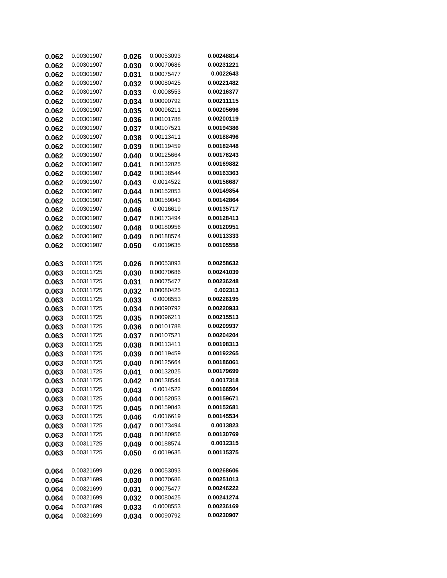| 0.062 | 0.00301907               | 0.026 | 0.00053093               | 0.00248814              |
|-------|--------------------------|-------|--------------------------|-------------------------|
| 0.062 | 0.00301907               | 0.030 | 0.00070686               | 0.00231221              |
| 0.062 | 0.00301907               | 0.031 | 0.00075477               | 0.0022643               |
| 0.062 | 0.00301907               | 0.032 | 0.00080425               | 0.00221482              |
| 0.062 | 0.00301907               | 0.033 | 0.0008553                | 0.00216377              |
| 0.062 | 0.00301907               | 0.034 | 0.00090792               | 0.00211115              |
| 0.062 | 0.00301907               | 0.035 | 0.00096211               | 0.00205696              |
| 0.062 | 0.00301907               | 0.036 | 0.00101788               | 0.00200119              |
| 0.062 | 0.00301907               | 0.037 | 0.00107521               | 0.00194386              |
| 0.062 | 0.00301907               | 0.038 | 0.00113411               | 0.00188496              |
| 0.062 | 0.00301907               | 0.039 | 0.00119459               | 0.00182448              |
| 0.062 | 0.00301907               | 0.040 | 0.00125664               | 0.00176243              |
| 0.062 | 0.00301907               | 0.041 | 0.00132025               | 0.00169882              |
| 0.062 | 0.00301907               | 0.042 | 0.00138544               | 0.00163363              |
| 0.062 | 0.00301907               | 0.043 | 0.0014522                | 0.00156687              |
| 0.062 | 0.00301907               | 0.044 | 0.00152053               | 0.00149854              |
| 0.062 | 0.00301907               | 0.045 | 0.00159043               | 0.00142864              |
| 0.062 | 0.00301907               | 0.046 | 0.0016619                | 0.00135717              |
| 0.062 | 0.00301907               | 0.047 | 0.00173494               | 0.00128413              |
| 0.062 | 0.00301907               | 0.048 | 0.00180956               | 0.00120951              |
| 0.062 | 0.00301907               | 0.049 | 0.00188574               | 0.00113333              |
| 0.062 | 0.00301907               | 0.050 | 0.0019635                | 0.00105558              |
| 0.063 | 0.00311725               | 0.026 | 0.00053093               | 0.00258632              |
| 0.063 | 0.00311725               | 0.030 | 0.00070686               | 0.00241039              |
| 0.063 | 0.00311725               | 0.031 | 0.00075477               | 0.00236248              |
| 0.063 | 0.00311725               | 0.032 | 0.00080425               | 0.002313                |
| 0.063 | 0.00311725               | 0.033 | 0.0008553                | 0.00226195              |
| 0.063 | 0.00311725               | 0.034 | 0.00090792               | 0.00220933              |
| 0.063 | 0.00311725               | 0.035 | 0.00096211               | 0.00215513              |
| 0.063 | 0.00311725               | 0.036 | 0.00101788               | 0.00209937              |
| 0.063 | 0.00311725               | 0.037 | 0.00107521               | 0.00204204              |
| 0.063 | 0.00311725               | 0.038 | 0.00113411               | 0.00198313              |
| 0.063 | 0.00311725               | 0.039 | 0.00119459               | 0.00192265              |
| 0.063 | 0.00311725               | 0.040 | 0.00125664               | 0.00186061              |
| 0.063 | 0.00311725               | 0.041 | 0.00132025               | 0.00179699              |
| 0.063 | 0.00311725               | 0.042 | 0.00138544               | 0.0017318               |
| 0.063 | 0.00311725               | 0.043 | 0.0014522                | 0.00166504              |
| 0.063 | 0.00311725               | 0.044 | 0.00152053               | 0.00159671              |
| 0.063 | 0.00311725               | 0.045 | 0.00159043               | 0.00152681              |
| 0.063 | 0.00311725               | 0.046 | 0.0016619                | 0.00145534              |
| 0.063 | 0.00311725               | 0.047 | 0.00173494               | 0.0013823               |
| 0.063 | 0.00311725<br>0.00311725 | 0.048 | 0.00180956<br>0.00188574 | 0.00130769<br>0.0012315 |
| 0.063 | 0.00311725               | 0.049 | 0.0019635                | 0.00115375              |
| 0.063 |                          | 0.050 |                          |                         |
| 0.064 | 0.00321699               | 0.026 | 0.00053093               | 0.00268606              |
| 0.064 | 0.00321699               | 0.030 | 0.00070686               | 0.00251013              |
| 0.064 | 0.00321699               | 0.031 | 0.00075477               | 0.00246222              |
| 0.064 | 0.00321699               | 0.032 | 0.00080425               | 0.00241274              |
| 0.064 | 0.00321699               | 0.033 | 0.0008553                | 0.00236169              |
| 0.064 | 0.00321699               | 0.034 | 0.00090792               | 0.00230907              |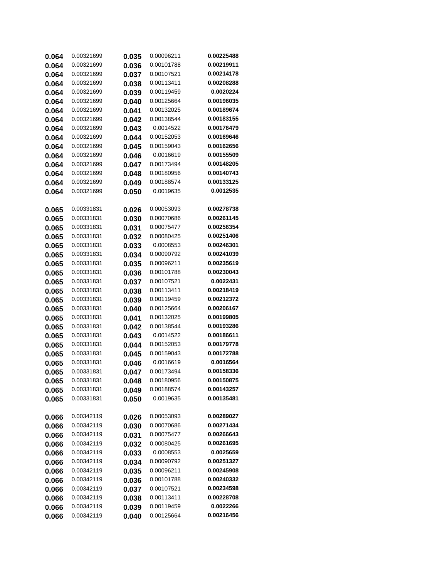| 0.064 | 0.00321699 | 0.035 | 0.00096211 | 0.00225488 |
|-------|------------|-------|------------|------------|
| 0.064 | 0.00321699 | 0.036 | 0.00101788 | 0.00219911 |
| 0.064 | 0.00321699 | 0.037 | 0.00107521 | 0.00214178 |
| 0.064 | 0.00321699 | 0.038 | 0.00113411 | 0.00208288 |
| 0.064 | 0.00321699 | 0.039 | 0.00119459 | 0.0020224  |
| 0.064 | 0.00321699 | 0.040 | 0.00125664 | 0.00196035 |
| 0.064 | 0.00321699 | 0.041 | 0.00132025 | 0.00189674 |
| 0.064 | 0.00321699 | 0.042 | 0.00138544 | 0.00183155 |
| 0.064 | 0.00321699 | 0.043 | 0.0014522  | 0.00176479 |
| 0.064 | 0.00321699 | 0.044 | 0.00152053 | 0.00169646 |
| 0.064 | 0.00321699 | 0.045 | 0.00159043 | 0.00162656 |
| 0.064 | 0.00321699 | 0.046 | 0.0016619  | 0.00155509 |
| 0.064 | 0.00321699 | 0.047 | 0.00173494 | 0.00148205 |
| 0.064 | 0.00321699 | 0.048 | 0.00180956 | 0.00140743 |
| 0.064 | 0.00321699 | 0.049 | 0.00188574 | 0.00133125 |
| 0.064 | 0.00321699 | 0.050 | 0.0019635  | 0.0012535  |
| 0.065 | 0.00331831 | 0.026 | 0.00053093 | 0.00278738 |
| 0.065 | 0.00331831 | 0.030 | 0.00070686 | 0.00261145 |
| 0.065 | 0.00331831 | 0.031 | 0.00075477 | 0.00256354 |
| 0.065 | 0.00331831 | 0.032 | 0.00080425 | 0.00251406 |
| 0.065 | 0.00331831 | 0.033 | 0.0008553  | 0.00246301 |
| 0.065 | 0.00331831 | 0.034 | 0.00090792 | 0.00241039 |
| 0.065 | 0.00331831 | 0.035 | 0.00096211 | 0.00235619 |
| 0.065 | 0.00331831 | 0.036 | 0.00101788 | 0.00230043 |
| 0.065 | 0.00331831 | 0.037 | 0.00107521 | 0.0022431  |
| 0.065 | 0.00331831 | 0.038 | 0.00113411 | 0.00218419 |
| 0.065 | 0.00331831 | 0.039 | 0.00119459 | 0.00212372 |
| 0.065 | 0.00331831 | 0.040 | 0.00125664 | 0.00206167 |
| 0.065 | 0.00331831 | 0.041 | 0.00132025 | 0.00199805 |
| 0.065 | 0.00331831 | 0.042 | 0.00138544 | 0.00193286 |
| 0.065 | 0.00331831 | 0.043 | 0.0014522  | 0.00186611 |
| 0.065 | 0.00331831 | 0.044 | 0.00152053 | 0.00179778 |
| 0.065 | 0.00331831 | 0.045 | 0.00159043 | 0.00172788 |
| 0.065 | 0.00331831 | 0.046 | 0.0016619  | 0.0016564  |
| 0.065 | 0.00331831 | 0.047 | 0.00173494 | 0.00158336 |
| 0.065 | 0.00331831 | 0.048 | 0.00180956 | 0.00150875 |
| 0.065 | 0.00331831 | 0.049 | 0.00188574 | 0.00143257 |
| 0.065 | 0.00331831 | 0.050 | 0.0019635  | 0.00135481 |
| 0.066 | 0.00342119 | 0.026 | 0.00053093 | 0.00289027 |
| 0.066 | 0.00342119 | 0.030 | 0.00070686 | 0.00271434 |
| 0.066 | 0.00342119 | 0.031 | 0.00075477 | 0.00266643 |
| 0.066 | 0.00342119 | 0.032 | 0.00080425 | 0.00261695 |
| 0.066 | 0.00342119 | 0.033 | 0.0008553  | 0.0025659  |
| 0.066 | 0.00342119 | 0.034 | 0.00090792 | 0.00251327 |
| 0.066 | 0.00342119 | 0.035 | 0.00096211 | 0.00245908 |
| 0.066 | 0.00342119 | 0.036 | 0.00101788 | 0.00240332 |
| 0.066 | 0.00342119 | 0.037 | 0.00107521 | 0.00234598 |
| 0.066 | 0.00342119 | 0.038 | 0.00113411 | 0.00228708 |
| 0.066 | 0.00342119 | 0.039 | 0.00119459 | 0.0022266  |
| 0.066 | 0.00342119 | 0.040 | 0.00125664 | 0.00216456 |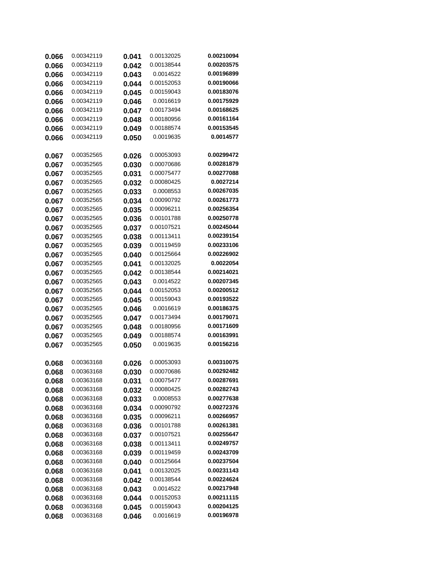| 0.066 | 0.00342119               | 0.041 | 0.00132025              | 0.00210094               |
|-------|--------------------------|-------|-------------------------|--------------------------|
| 0.066 | 0.00342119               | 0.042 | 0.00138544              | 0.00203575               |
| 0.066 | 0.00342119               | 0.043 | 0.0014522               | 0.00196899               |
| 0.066 | 0.00342119               | 0.044 | 0.00152053              | 0.00190066               |
| 0.066 | 0.00342119               | 0.045 | 0.00159043              | 0.00183076               |
| 0.066 | 0.00342119               | 0.046 | 0.0016619               | 0.00175929               |
| 0.066 | 0.00342119               | 0.047 | 0.00173494              | 0.00168625               |
| 0.066 | 0.00342119               | 0.048 | 0.00180956              | 0.00161164               |
| 0.066 | 0.00342119               | 0.049 | 0.00188574              | 0.00153545               |
| 0.066 | 0.00342119               | 0.050 | 0.0019635               | 0.0014577                |
|       |                          |       |                         |                          |
| 0.067 | 0.00352565               | 0.026 | 0.00053093              | 0.00299472               |
| 0.067 | 0.00352565               | 0.030 | 0.00070686              | 0.00281879               |
| 0.067 | 0.00352565               | 0.031 | 0.00075477              | 0.00277088               |
| 0.067 | 0.00352565               | 0.032 | 0.00080425              | 0.0027214                |
| 0.067 | 0.00352565               | 0.033 | 0.0008553               | 0.00267035               |
| 0.067 | 0.00352565               | 0.034 | 0.00090792              | 0.00261773               |
| 0.067 | 0.00352565               | 0.035 | 0.00096211              | 0.00256354               |
| 0.067 | 0.00352565               | 0.036 | 0.00101788              | 0.00250778               |
| 0.067 | 0.00352565               | 0.037 | 0.00107521              | 0.00245044               |
| 0.067 | 0.00352565               | 0.038 | 0.00113411              | 0.00239154               |
| 0.067 | 0.00352565               | 0.039 | 0.00119459              | 0.00233106               |
| 0.067 | 0.00352565               | 0.040 | 0.00125664              | 0.00226902               |
| 0.067 | 0.00352565               | 0.041 | 0.00132025              | 0.0022054                |
| 0.067 | 0.00352565               | 0.042 | 0.00138544              | 0.00214021               |
| 0.067 | 0.00352565               | 0.043 | 0.0014522               | 0.00207345               |
| 0.067 | 0.00352565               | 0.044 | 0.00152053              | 0.00200512               |
| 0.067 | 0.00352565               | 0.045 | 0.00159043              | 0.00193522               |
| 0.067 | 0.00352565               | 0.046 | 0.0016619               | 0.00186375               |
| 0.067 | 0.00352565               | 0.047 | 0.00173494              | 0.00179071               |
| 0.067 | 0.00352565               | 0.048 | 0.00180956              | 0.00171609               |
| 0.067 | 0.00352565               | 0.049 | 0.00188574              | 0.00163991               |
| 0.067 | 0.00352565               | 0.050 | 0.0019635               | 0.00156216               |
|       |                          |       |                         |                          |
| 0.068 | 0.00363168               | 0.026 | 0.00053093              | 0.00310075               |
| 0.068 | 0.00363168               | 0.030 | 0.00070686              | 0.00292482               |
| 0.068 | 0.00363168               | 0.031 | 0.00075477              | 0.00287691               |
| 0.068 | 0.00363168               | 0.032 | 0.00080425              | 0.00282743               |
| 0.068 | 0.00363168               | 0.033 | 0.0008553               | 0.00277638               |
| 0.068 | 0.00363168               | 0.034 | 0.00090792              | 0.00272376               |
| 0.068 | 0.00363168               | 0.035 | 0.00096211              | 0.00266957               |
| 0.068 | 0.00363168               | 0.036 | 0.00101788              | 0.00261381               |
| 0.068 | 0.00363168               | 0.037 | 0.00107521              | 0.00255647               |
| 0.068 | 0.00363168               | 0.038 | 0.00113411              | 0.00249757               |
| 0.068 | 0.00363168               | 0.039 | 0.00119459              | 0.00243709               |
| 0.068 | 0.00363168               | 0.040 | 0.00125664              | 0.00237504               |
| 0.068 | 0.00363168               | 0.041 | 0.00132025              | 0.00231143               |
| 0.068 | 0.00363168               | 0.042 | 0.00138544              | 0.00224624<br>0.00217948 |
| 0.068 | 0.00363168               | 0.043 | 0.0014522<br>0.00152053 | 0.00211115               |
| 0.068 | 0.00363168<br>0.00363168 | 0.044 | 0.00159043              | 0.00204125               |
| 0.068 |                          | 0.045 |                         | 0.00196978               |
| 0.068 | 0.00363168               | 0.046 | 0.0016619               |                          |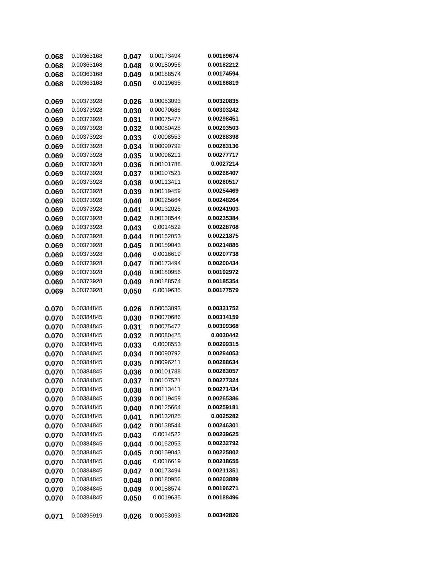| 0.068 | 0.00363168 | 0.047 | 0.00173494 | 0.00189674 |
|-------|------------|-------|------------|------------|
| 0.068 | 0.00363168 | 0.048 | 0.00180956 | 0.00182212 |
| 0.068 | 0.00363168 | 0.049 | 0.00188574 | 0.00174594 |
| 0.068 | 0.00363168 | 0.050 | 0.0019635  | 0.00166819 |
| 0.069 | 0.00373928 | 0.026 | 0.00053093 | 0.00320835 |
| 0.069 | 0.00373928 | 0.030 | 0.00070686 | 0.00303242 |
| 0.069 | 0.00373928 | 0.031 | 0.00075477 | 0.00298451 |
| 0.069 | 0.00373928 | 0.032 | 0.00080425 | 0.00293503 |
| 0.069 | 0.00373928 | 0.033 | 0.0008553  | 0.00288398 |
| 0.069 | 0.00373928 | 0.034 | 0.00090792 | 0.00283136 |
| 0.069 | 0.00373928 | 0.035 | 0.00096211 | 0.00277717 |
| 0.069 | 0.00373928 | 0.036 | 0.00101788 | 0.0027214  |
| 0.069 | 0.00373928 | 0.037 | 0.00107521 | 0.00266407 |
| 0.069 | 0.00373928 | 0.038 | 0.00113411 | 0.00260517 |
| 0.069 | 0.00373928 | 0.039 | 0.00119459 | 0.00254469 |
| 0.069 | 0.00373928 | 0.040 | 0.00125664 | 0.00248264 |
| 0.069 | 0.00373928 | 0.041 | 0.00132025 | 0.00241903 |
| 0.069 | 0.00373928 | 0.042 | 0.00138544 | 0.00235384 |
| 0.069 | 0.00373928 | 0.043 | 0.0014522  | 0.00228708 |
| 0.069 | 0.00373928 | 0.044 | 0.00152053 | 0.00221875 |
| 0.069 | 0.00373928 | 0.045 | 0.00159043 | 0.00214885 |
| 0.069 | 0.00373928 | 0.046 | 0.0016619  | 0.00207738 |
| 0.069 | 0.00373928 | 0.047 | 0.00173494 | 0.00200434 |
| 0.069 | 0.00373928 | 0.048 | 0.00180956 | 0.00192972 |
| 0.069 | 0.00373928 | 0.049 | 0.00188574 | 0.00185354 |
|       |            |       |            |            |
| 0.069 | 0.00373928 | 0.050 | 0.0019635  | 0.00177579 |
| 0.070 | 0.00384845 | 0.026 | 0.00053093 | 0.00331752 |
| 0.070 | 0.00384845 | 0.030 | 0.00070686 | 0.00314159 |
| 0.070 | 0.00384845 | 0.031 | 0.00075477 | 0.00309368 |
| 0.070 | 0.00384845 | 0.032 | 0.00080425 | 0.0030442  |
| 0.070 | 0.00384845 | 0.033 | 0.0008553  | 0.00299315 |
| 0.070 | 0.00384845 | 0.034 | 0.00090792 | 0.00294053 |
| 0.070 | 0.00384845 | 0.035 | 0.00096211 | 0.00288634 |
| 0.070 | 0.00384845 | 0.036 | 0.00101788 | 0.00283057 |
| 0.070 | 0.00384845 | 0.037 | 0.00107521 | 0.00277324 |
| 0.070 | 0.00384845 | 0.038 | 0.00113411 | 0.00271434 |
| 0.070 | 0.00384845 | 0.039 | 0.00119459 | 0.00265386 |
| 0.070 | 0.00384845 | 0.040 | 0.00125664 | 0.00259181 |
| 0.070 | 0.00384845 | 0.041 | 0.00132025 | 0.0025282  |
| 0.070 | 0.00384845 | 0.042 | 0.00138544 | 0.00246301 |
| 0.070 | 0.00384845 | 0.043 | 0.0014522  | 0.00239625 |
| 0.070 | 0.00384845 | 0.044 | 0.00152053 | 0.00232792 |
| 0.070 | 0.00384845 | 0.045 | 0.00159043 | 0.00225802 |
| 0.070 | 0.00384845 | 0.046 | 0.0016619  | 0.00218655 |
| 0.070 | 0.00384845 | 0.047 | 0.00173494 | 0.00211351 |
| 0.070 | 0.00384845 | 0.048 | 0.00180956 | 0.00203889 |
| 0.070 | 0.00384845 | 0.049 | 0.00188574 | 0.00196271 |
| 0.070 | 0.00384845 | 0.050 | 0.0019635  | 0.00188496 |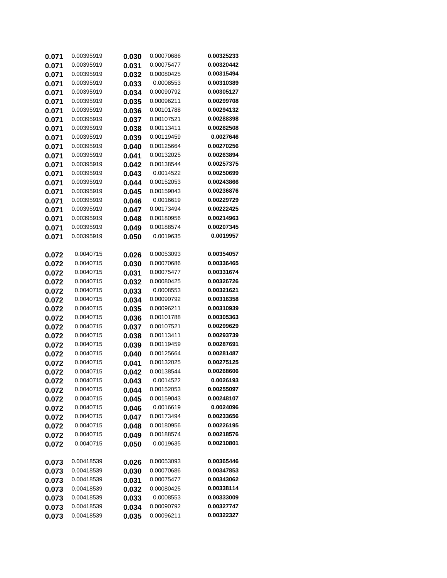| 0.071 | 0.00395919             | 0.030 | 0.00070686               | 0.00325233               |
|-------|------------------------|-------|--------------------------|--------------------------|
| 0.071 | 0.00395919             | 0.031 | 0.00075477               | 0.00320442               |
| 0.071 | 0.00395919             | 0.032 | 0.00080425               | 0.00315494               |
| 0.071 | 0.00395919             | 0.033 | 0.0008553                | 0.00310389               |
| 0.071 | 0.00395919             | 0.034 | 0.00090792               | 0.00305127               |
| 0.071 | 0.00395919             | 0.035 | 0.00096211               | 0.00299708               |
| 0.071 | 0.00395919             | 0.036 | 0.00101788               | 0.00294132               |
| 0.071 | 0.00395919             | 0.037 | 0.00107521               | 0.00288398               |
| 0.071 | 0.00395919             | 0.038 | 0.00113411               | 0.00282508               |
| 0.071 | 0.00395919             | 0.039 | 0.00119459               | 0.0027646                |
| 0.071 | 0.00395919             | 0.040 | 0.00125664               | 0.00270256               |
| 0.071 | 0.00395919             | 0.041 | 0.00132025               | 0.00263894               |
| 0.071 | 0.00395919             | 0.042 | 0.00138544               | 0.00257375               |
| 0.071 | 0.00395919             | 0.043 | 0.0014522                | 0.00250699               |
| 0.071 | 0.00395919             | 0.044 | 0.00152053               | 0.00243866               |
| 0.071 | 0.00395919             | 0.045 | 0.00159043               | 0.00236876               |
| 0.071 | 0.00395919             | 0.046 | 0.0016619                | 0.00229729               |
| 0.071 | 0.00395919             | 0.047 | 0.00173494               | 0.00222425               |
| 0.071 | 0.00395919             | 0.048 | 0.00180956               | 0.00214963               |
| 0.071 | 0.00395919             | 0.049 | 0.00188574               | 0.00207345               |
| 0.071 | 0.00395919             | 0.050 | 0.0019635                | 0.0019957                |
| 0.072 | 0.0040715              | 0.026 | 0.00053093               | 0.00354057               |
| 0.072 | 0.0040715              | 0.030 | 0.00070686               | 0.00336465               |
| 0.072 | 0.0040715              | 0.031 | 0.00075477               | 0.00331674               |
| 0.072 | 0.0040715              | 0.032 | 0.00080425               | 0.00326726               |
| 0.072 | 0.0040715              | 0.033 | 0.0008553                | 0.00321621               |
| 0.072 | 0.0040715              | 0.034 | 0.00090792               | 0.00316358               |
| 0.072 | 0.0040715              | 0.035 | 0.00096211               | 0.00310939               |
| 0.072 | 0.0040715              | 0.036 | 0.00101788               | 0.00305363               |
| 0.072 | 0.0040715              | 0.037 | 0.00107521               | 0.00299629               |
| 0.072 | 0.0040715              | 0.038 | 0.00113411               | 0.00293739               |
| 0.072 | 0.0040715              | 0.039 | 0.00119459               | 0.00287691               |
| 0.072 | 0.0040715              | 0.040 | 0.00125664               | 0.00281487               |
| 0.072 | 0.0040715              | 0.041 | 0.00132025               | 0.00275125               |
| 0.072 | 0.0040715              | 0.042 | 0.00138544               | 0.00268606               |
| 0.072 | 0.0040715              | 0.043 | 0.0014522                | 0.0026193                |
| 0.072 | 0.0040715              | 0.044 | 0.00152053               | 0.00255097               |
| 0.072 | 0.0040715              | 0.045 | 0.00159043               | 0.00248107               |
| 0.072 | 0.0040715              | 0.046 | 0.0016619                | 0.0024096                |
| 0.072 | 0.0040715              | 0.047 | 0.00173494               | 0.00233656               |
| 0.072 | 0.0040715              | 0.048 | 0.00180956<br>0.00188574 | 0.00226195<br>0.00218576 |
| 0.072 | 0.0040715<br>0.0040715 | 0.049 | 0.0019635                | 0.00210801               |
| 0.072 |                        | 0.050 |                          |                          |
| 0.073 | 0.00418539             | 0.026 | 0.00053093               | 0.00365446               |
| 0.073 | 0.00418539             | 0.030 | 0.00070686               | 0.00347853               |
| 0.073 | 0.00418539             | 0.031 | 0.00075477               | 0.00343062               |
| 0.073 | 0.00418539             | 0.032 | 0.00080425               | 0.00338114               |
| 0.073 | 0.00418539             | 0.033 | 0.0008553                | 0.00333009               |
| 0.073 | 0.00418539             | 0.034 | 0.00090792               | 0.00327747               |
| 0.073 | 0.00418539             | 0.035 | 0.00096211               | 0.00322327               |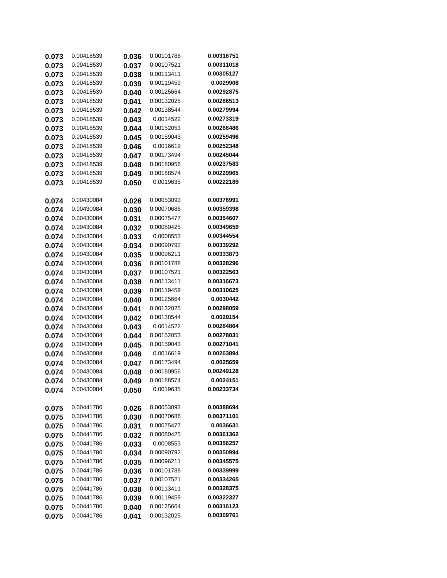| 0.073          | 0.00418539 | 0.036          | 0.00101788 | 0.00316751 |
|----------------|------------|----------------|------------|------------|
| 0.073          | 0.00418539 | 0.037          | 0.00107521 | 0.00311018 |
| 0.073          | 0.00418539 | 0.038          | 0.00113411 | 0.00305127 |
| 0.073          | 0.00418539 | 0.039          | 0.00119459 | 0.0029908  |
| 0.073          | 0.00418539 | 0.040          | 0.00125664 | 0.00292875 |
| 0.073          | 0.00418539 | 0.041          | 0.00132025 | 0.00286513 |
| 0.073          | 0.00418539 | 0.042          | 0.00138544 | 0.00279994 |
| 0.073          | 0.00418539 | 0.043          | 0.0014522  | 0.00273319 |
| 0.073          | 0.00418539 | 0.044          | 0.00152053 | 0.00266486 |
| 0.073          | 0.00418539 | 0.045          | 0.00159043 | 0.00259496 |
| 0.073          | 0.00418539 | 0.046          | 0.0016619  | 0.00252348 |
| 0.073          | 0.00418539 | 0.047          | 0.00173494 | 0.00245044 |
| 0.073          | 0.00418539 | 0.048          | 0.00180956 | 0.00237583 |
| 0.073          | 0.00418539 | 0.049          | 0.00188574 | 0.00229965 |
| 0.073          | 0.00418539 | 0.050          | 0.0019635  | 0.00222189 |
|                | 0.00430084 |                | 0.00053093 | 0.00376991 |
| 0.074<br>0.074 | 0.00430084 | 0.026<br>0.030 | 0.00070686 | 0.00359398 |
| 0.074          | 0.00430084 | 0.031          | 0.00075477 | 0.00354607 |
| 0.074          | 0.00430084 | 0.032          | 0.00080425 | 0.00349659 |
| 0.074          | 0.00430084 | 0.033          | 0.0008553  | 0.00344554 |
| 0.074          | 0.00430084 | 0.034          | 0.00090792 | 0.00339292 |
| 0.074          | 0.00430084 | 0.035          | 0.00096211 | 0.00333873 |
| 0.074          | 0.00430084 | 0.036          | 0.00101788 | 0.00328296 |
| 0.074          | 0.00430084 | 0.037          | 0.00107521 | 0.00322563 |
| 0.074          | 0.00430084 | 0.038          | 0.00113411 | 0.00316673 |
| 0.074          | 0.00430084 | 0.039          | 0.00119459 | 0.00310625 |
| 0.074          | 0.00430084 | 0.040          | 0.00125664 | 0.0030442  |
| 0.074          | 0.00430084 | 0.041          | 0.00132025 | 0.00298059 |
| 0.074          | 0.00430084 | 0.042          | 0.00138544 | 0.0029154  |
| 0.074          | 0.00430084 | 0.043          | 0.0014522  | 0.00284864 |
| 0.074          | 0.00430084 | 0.044          | 0.00152053 | 0.00278031 |
| 0.074          | 0.00430084 | 0.045          | 0.00159043 | 0.00271041 |
| 0.074          | 0.00430084 | 0.046          | 0.0016619  | 0.00263894 |
| 0.074          | 0.00430084 | 0.047          | 0.00173494 | 0.0025659  |
| 0.074          | 0.00430084 | 0.048          | 0.00180956 | 0.00249128 |
| 0.074          | 0.00430084 | 0.049          | 0.00188574 | 0.0024151  |
| 0.074          | 0.00430084 | 0.050          | 0.0019635  | 0.00233734 |
| 0.075          | 0.00441786 | 0.026          | 0.00053093 | 0.00388694 |
| 0.075          | 0.00441786 | 0.030          | 0.00070686 | 0.00371101 |
| 0.075          | 0.00441786 | 0.031          | 0.00075477 | 0.0036631  |
| 0.075          | 0.00441786 | 0.032          | 0.00080425 | 0.00361362 |
| 0.075          | 0.00441786 | 0.033          | 0.0008553  | 0.00356257 |
| 0.075          | 0.00441786 | 0.034          | 0.00090792 | 0.00350994 |
| 0.075          | 0.00441786 | 0.035          | 0.00096211 | 0.00345575 |
| 0.075          | 0.00441786 | 0.036          | 0.00101788 | 0.00339999 |
| 0.075          | 0.00441786 | 0.037          | 0.00107521 | 0.00334265 |
| 0.075          | 0.00441786 | 0.038          | 0.00113411 | 0.00328375 |
| 0.075          | 0.00441786 | 0.039          | 0.00119459 | 0.00322327 |
| 0.075          | 0.00441786 | 0.040          | 0.00125664 | 0.00316123 |
| 0.075          | 0.00441786 | 0.041          | 0.00132025 | 0.00309761 |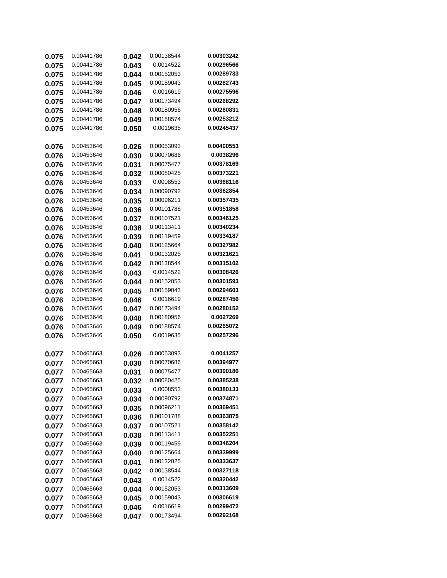| 0.075          | 0.00441786               | 0.042          | 0.00138544               | 0.00303242               |
|----------------|--------------------------|----------------|--------------------------|--------------------------|
| 0.075          | 0.00441786               | 0.043          | 0.0014522                | 0.00296566               |
| 0.075          | 0.00441786               | 0.044          | 0.00152053               | 0.00289733               |
| 0.075          | 0.00441786               | 0.045          | 0.00159043               | 0.00282743               |
| 0.075          | 0.00441786               | 0.046          | 0.0016619                | 0.00275596               |
| 0.075          | 0.00441786               | 0.047          | 0.00173494               | 0.00268292               |
| 0.075          | 0.00441786               | 0.048          | 0.00180956               | 0.00260831               |
| 0.075          | 0.00441786               | 0.049          | 0.00188574               | 0.00253212               |
| 0.075          | 0.00441786               | 0.050          | 0.0019635                | 0.00245437               |
| 0.076          | 0.00453646               | 0.026          | 0.00053093               | 0.00400553               |
| 0.076          | 0.00453646               | 0.030          | 0.00070686               | 0.0038296                |
| 0.076          | 0.00453646               | 0.031          | 0.00075477               | 0.00378169               |
| 0.076          | 0.00453646               | 0.032          | 0.00080425               | 0.00373221               |
| 0.076          | 0.00453646               | 0.033          | 0.0008553                | 0.00368116               |
| 0.076          | 0.00453646               | 0.034          | 0.00090792               | 0.00362854               |
| 0.076          | 0.00453646               | 0.035          | 0.00096211               | 0.00357435               |
| 0.076          | 0.00453646               | 0.036          | 0.00101788               | 0.00351858               |
| 0.076          | 0.00453646               | 0.037          | 0.00107521               | 0.00346125               |
| 0.076          | 0.00453646               | 0.038          | 0.00113411               | 0.00340234               |
| 0.076          | 0.00453646<br>0.00453646 | 0.039          | 0.00119459<br>0.00125664 | 0.00334187<br>0.00327982 |
| 0.076          | 0.00453646               | 0.040          | 0.00132025               | 0.00321621               |
| 0.076          | 0.00453646               | 0.041          | 0.00138544               | 0.00315102               |
| 0.076          | 0.00453646               | 0.042          | 0.0014522                | 0.00308426               |
| 0.076<br>0.076 | 0.00453646               | 0.043<br>0.044 | 0.00152053               | 0.00301593               |
| 0.076          | 0.00453646               | 0.045          | 0.00159043               | 0.00294603               |
| 0.076          | 0.00453646               | 0.046          | 0.0016619                | 0.00287456               |
| 0.076          | 0.00453646               | 0.047          | 0.00173494               | 0.00280152               |
| 0.076          | 0.00453646               | 0.048          | 0.00180956               | 0.0027269                |
| 0.076          | 0.00453646               | 0.049          | 0.00188574               | 0.00265072               |
| 0.076          | 0.00453646               | 0.050          | 0.0019635                | 0.00257296               |
| 0.077          | 0.00465663               | 0.026          | 0.00053093               | 0.0041257                |
| 0.077          | 0.00465663               | 0.030          | 0.00070686               | 0.00394977               |
| 0.077          | 0.00465663               | 0.031          | 0.00075477               | 0.00390186               |
| 0.077          | 0.00465663               | 0.032          | 0.00080425               | 0.00385238               |
| 0.077          | 0.00465663               | 0.033          | 0.0008553                | 0.00380133               |
| 0.077          | 0.00465663               | 0.034          | 0.00090792               | 0.00374871               |
| 0.077          | 0.00465663               | 0.035          | 0.00096211               | 0.00369451               |
| 0.077          | 0.00465663               | 0.036          | 0.00101788               | 0.00363875               |
| 0.077          | 0.00465663               | 0.037          | 0.00107521               | 0.00358142               |
| 0.077          | 0.00465663               | 0.038          | 0.00113411               | 0.00352251               |
| 0.077          | 0.00465663               | 0.039          | 0.00119459               | 0.00346204               |
| 0.077          | 0.00465663               | 0.040          | 0.00125664               | 0.00339999               |
| 0.077          | 0.00465663               | 0.041          | 0.00132025               | 0.00333637               |
| 0.077          | 0.00465663               | 0.042          | 0.00138544               | 0.00327118               |
| 0.077          | 0.00465663               | 0.043          | 0.0014522                | 0.00320442               |
| 0.077          | 0.00465663               | 0.044          | 0.00152053               | 0.00313609               |
| 0.077          | 0.00465663               | 0.045          | 0.00159043               | 0.00306619               |
| 0.077          | 0.00465663               | 0.046          | 0.0016619                | 0.00299472               |
| 0.077          | 0.00465663               | 0.047          | 0.00173494               | 0.00292168               |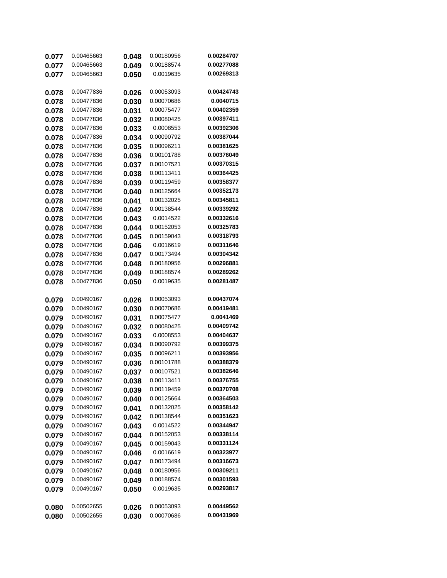| 0.077 | 0.00465663 | 0.048 | 0.00180956 | 0.00284707 |
|-------|------------|-------|------------|------------|
| 0.077 | 0.00465663 | 0.049 | 0.00188574 | 0.00277088 |
| 0.077 | 0.00465663 | 0.050 | 0.0019635  | 0.00269313 |
|       |            |       |            |            |
| 0.078 | 0.00477836 | 0.026 | 0.00053093 | 0.00424743 |
| 0.078 | 0.00477836 | 0.030 | 0.00070686 | 0.0040715  |
| 0.078 | 0.00477836 | 0.031 | 0.00075477 | 0.00402359 |
| 0.078 | 0.00477836 | 0.032 | 0.00080425 | 0.00397411 |
| 0.078 | 0.00477836 | 0.033 | 0.0008553  | 0.00392306 |
| 0.078 | 0.00477836 | 0.034 | 0.00090792 | 0.00387044 |
| 0.078 | 0.00477836 | 0.035 | 0.00096211 | 0.00381625 |
| 0.078 | 0.00477836 | 0.036 | 0.00101788 | 0.00376049 |
| 0.078 | 0.00477836 | 0.037 | 0.00107521 | 0.00370315 |
| 0.078 | 0.00477836 | 0.038 | 0.00113411 | 0.00364425 |
| 0.078 | 0.00477836 | 0.039 | 0.00119459 | 0.00358377 |
| 0.078 | 0.00477836 | 0.040 | 0.00125664 | 0.00352173 |
| 0.078 | 0.00477836 | 0.041 | 0.00132025 | 0.00345811 |
| 0.078 | 0.00477836 | 0.042 | 0.00138544 | 0.00339292 |
| 0.078 | 0.00477836 | 0.043 | 0.0014522  | 0.00332616 |
| 0.078 | 0.00477836 | 0.044 | 0.00152053 | 0.00325783 |
| 0.078 | 0.00477836 | 0.045 | 0.00159043 | 0.00318793 |
| 0.078 | 0.00477836 | 0.046 | 0.0016619  | 0.00311646 |
| 0.078 | 0.00477836 | 0.047 | 0.00173494 | 0.00304342 |
| 0.078 | 0.00477836 | 0.048 | 0.00180956 | 0.00296881 |
| 0.078 | 0.00477836 | 0.049 | 0.00188574 | 0.00289262 |
| 0.078 | 0.00477836 | 0.050 | 0.0019635  | 0.00281487 |
|       |            |       |            |            |
| 0.079 | 0.00490167 | 0.026 | 0.00053093 | 0.00437074 |
| 0.079 | 0.00490167 | 0.030 | 0.00070686 | 0.00419481 |
| 0.079 | 0.00490167 | 0.031 | 0.00075477 | 0.0041469  |
| 0.079 | 0.00490167 | 0.032 | 0.00080425 | 0.00409742 |
| 0.079 | 0.00490167 | 0.033 | 0.0008553  | 0.00404637 |
| 0.079 | 0.00490167 | 0.034 | 0.00090792 | 0.00399375 |
| 0.079 | 0.00490167 | 0.035 | 0.00096211 | 0.00393956 |
| 0.079 | 0.00490167 | 0.036 | 0.00101788 | 0.00388379 |
| 0.079 | 0.00490167 | 0.037 | 0.00107521 | 0.00382646 |
| 0.079 | 0.00490167 | 0.038 | 0.00113411 | 0.00376755 |
| 0.079 | 0.00490167 | 0.039 | 0.00119459 | 0.00370708 |
| 0.079 | 0.00490167 | 0.040 | 0.00125664 | 0.00364503 |
| 0.079 | 0.00490167 | 0.041 | 0.00132025 | 0.00358142 |
| 0.079 | 0.00490167 | 0.042 | 0.00138544 | 0.00351623 |
| 0.079 | 0.00490167 | 0.043 | 0.0014522  | 0.00344947 |
| 0.079 | 0.00490167 | 0.044 | 0.00152053 | 0.00338114 |
| 0.079 | 0.00490167 | 0.045 | 0.00159043 | 0.00331124 |
| 0.079 | 0.00490167 | 0.046 | 0.0016619  | 0.00323977 |
| 0.079 | 0.00490167 | 0.047 | 0.00173494 | 0.00316673 |
| 0.079 | 0.00490167 | 0.048 | 0.00180956 | 0.00309211 |
| 0.079 | 0.00490167 | 0.049 | 0.00188574 | 0.00301593 |
| 0.079 | 0.00490167 | 0.050 | 0.0019635  | 0.00293817 |
|       |            |       |            |            |
| 0.080 | 0.00502655 | 0.026 | 0.00053093 | 0.00449562 |
| 0.080 | 0.00502655 | 0.030 | 0.00070686 | 0.00431969 |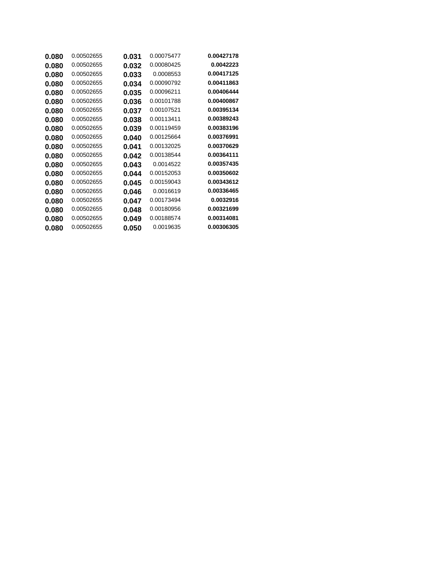| 0.00502655 | 0.031 | 0.00075477 | 0.00427178 |
|------------|-------|------------|------------|
| 0.00502655 | 0.032 | 0.00080425 | 0.0042223  |
| 0.00502655 | 0.033 | 0.0008553  | 0.00417125 |
| 0.00502655 | 0.034 | 0.00090792 | 0.00411863 |
| 0.00502655 | 0.035 | 0.00096211 | 0.00406444 |
| 0.00502655 | 0.036 | 0.00101788 | 0.00400867 |
| 0.00502655 | 0.037 | 0.00107521 | 0.00395134 |
| 0.00502655 | 0.038 | 0.00113411 | 0.00389243 |
| 0.00502655 | 0.039 | 0.00119459 | 0.00383196 |
| 0.00502655 | 0.040 | 0.00125664 | 0.00376991 |
| 0.00502655 | 0.041 | 0.00132025 | 0.00370629 |
| 0.00502655 | 0.042 | 0.00138544 | 0.00364111 |
| 0.00502655 | 0.043 | 0.0014522  | 0.00357435 |
| 0.00502655 | 0.044 | 0.00152053 | 0.00350602 |
| 0.00502655 | 0.045 | 0.00159043 | 0.00343612 |
| 0.00502655 | 0.046 | 0.0016619  | 0.00336465 |
| 0.00502655 | 0.047 | 0.00173494 | 0.0032916  |
| 0.00502655 | 0.048 | 0.00180956 | 0.00321699 |
| 0.00502655 | 0.049 | 0.00188574 | 0.00314081 |
| 0.00502655 | 0.050 | 0.0019635  | 0.00306305 |
|            |       |            |            |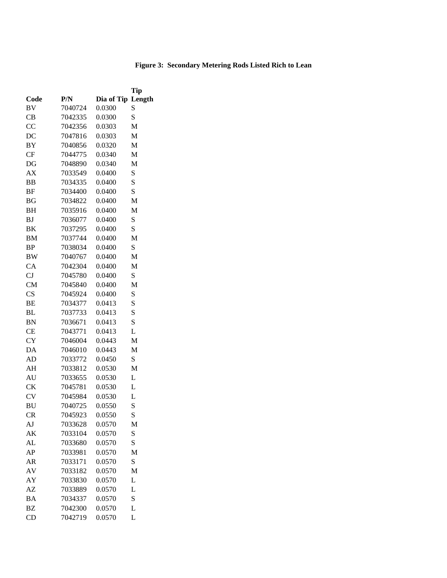## **Figure 3: Secondary Metering Rods Listed Rich to Lean**

|                        |         |            | Tip    |
|------------------------|---------|------------|--------|
| Code                   | P/N     | Dia of Tip | Length |
| BV                     | 7040724 | 0.0300     | S      |
| CВ                     | 7042335 | 0.0300     | S      |
| CC                     | 7042356 | 0.0303     | M      |
| DC                     | 7047816 | 0.0303     | M      |
| <b>BY</b>              | 7040856 | 0.0320     | M      |
| CF                     | 7044775 | 0.0340     | M      |
| DG                     | 7048890 | 0.0340     | M      |
| АX                     | 7033549 | 0.0400     | S      |
| BB                     | 7034335 | 0.0400     | S      |
| <b>BF</b>              | 7034400 | 0.0400     | S      |
| BG                     | 7034822 | 0.0400     | M      |
| <b>BH</b>              | 7035916 | 0.0400     | M      |
| <b>BJ</b>              | 7036077 | 0.0400     | S      |
| BK                     | 7037295 | 0.0400     | S      |
| <b>BM</b>              | 7037744 | 0.0400     | M      |
| <b>BP</b>              | 7038034 | 0.0400     | S      |
| <b>BW</b>              | 7040767 | 0.0400     | M      |
| CA                     | 7042304 | 0.0400     | M      |
| CJ                     | 7045780 | 0.0400     | S      |
| <b>CM</b>              | 7045840 | 0.0400     | M      |
| $\overline{\text{CS}}$ | 7045924 | 0.0400     | S      |
| BE                     | 7034377 | 0.0413     | S      |
| BL                     | 7037733 | 0.0413     | S      |
| <b>BN</b>              | 7036671 | 0.0413     | S      |
| <b>CE</b>              | 7043771 | 0.0413     | L      |
| <b>CY</b>              | 7046004 | 0.0443     | M      |
| DA                     | 7046010 | 0.0443     | M      |
| AD                     | 7033772 | 0.0450     | S      |
| AH                     | 7033812 | 0.0530     | M      |
| AU                     | 7033655 | 0.0530     | L      |
| <b>CK</b>              | 7045781 | 0.0530     | L      |
| <b>CV</b>              | 7045984 | 0.0530     | L      |
| <b>BU</b>              | 7040725 | 0.0550     | S      |
| CR                     | 7045923 | 0.0550     | S      |
| AJ                     | 7033628 | 0.0570     | М      |
| AK                     | 7033104 | 0.0570     | S      |
| AL                     | 7033680 | 0.0570     | S      |
| AP                     | 7033981 | 0.0570     | М      |
| AR                     | 7033171 | 0.0570     | S      |
| AV                     | 7033182 | 0.0570     | M      |
| AY                     | 7033830 | 0.0570     | L      |
| AΖ                     | 7033889 | 0.0570     | L      |
| BA                     | 7034337 | 0.0570     | S      |
| ΒZ                     | 7042300 | 0.0570     | L      |
| CD                     | 7042719 | 0.0570     | L      |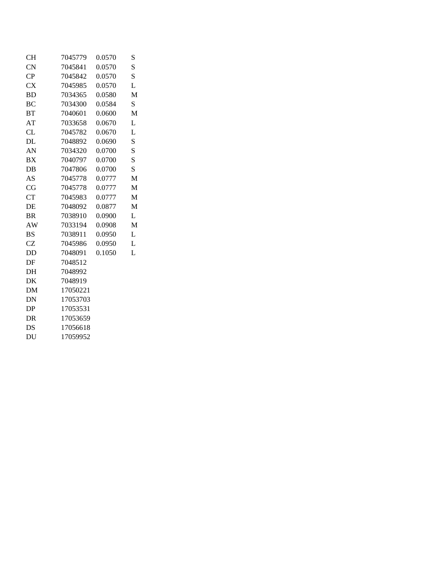| <b>CH</b> | 7045779  | 0.0570 | S |
|-----------|----------|--------|---|
| <b>CN</b> | 7045841  | 0.0570 | S |
| CP        | 7045842  | 0.0570 | S |
| <b>CX</b> | 7045985  | 0.0570 | L |
| <b>BD</b> | 7034365  | 0.0580 | M |
| <b>BC</b> | 7034300  | 0.0584 | S |
| <b>BT</b> | 7040601  | 0.0600 | M |
| AT        | 7033658  | 0.0670 | L |
| CL        | 7045782  | 0.0670 | L |
| DL        | 7048892  | 0.0690 | S |
| AN        | 7034320  | 0.0700 | S |
| <b>BX</b> | 7040797  | 0.0700 | S |
| $DB$      | 7047806  | 0.0700 | S |
| AS        | 7045778  | 0.0777 | M |
| CG        | 7045778  | 0.0777 | M |
| <b>CT</b> | 7045983  | 0.0777 | M |
| DE        | 7048092  | 0.0877 | M |
| <b>BR</b> | 7038910  | 0.0900 | L |
| AW        | 7033194  | 0.0908 | M |
| <b>BS</b> | 7038911  | 0.0950 | L |
| <b>CZ</b> | 7045986  | 0.0950 | L |
| DD        | 7048091  | 0.1050 | L |
| DF        | 7048512  |        |   |
| DH        | 7048992  |        |   |
| DK        | 7048919  |        |   |
| DM        | 17050221 |        |   |
| DN        | 17053703 |        |   |
| DP        | 17053531 |        |   |
| <b>DR</b> | 17053659 |        |   |
| DS        | 17056618 |        |   |
| DU        | 17059952 |        |   |
|           |          |        |   |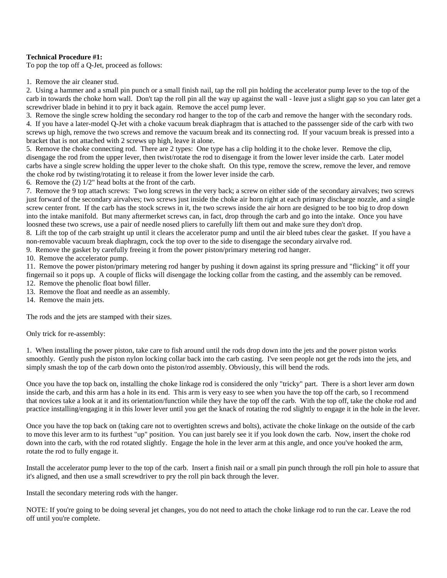#### **Technical Procedure #1:**

To pop the top off a Q-Jet, proceed as follows:

1. Remove the air cleaner stud.

2. Using a hammer and a small pin punch or a small finish nail, tap the roll pin holding the accelerator pump lever to the top of the carb in towards the choke horn wall. Don't tap the roll pin all the way up against the wall - leave just a slight gap so you can later get a screwdriver blade in behind it to pry it back again. Remove the accel pump lever.

3. Remove the single screw holding the secondary rod hanger to the top of the carb and remove the hanger with the secondary rods. 4. If you have a later-model Q-Jet with a choke vacuum break diaphragm that is attached to the passsenger side of the carb with two screws up high, remove the two screws and remove the vacuum break and its connecting rod. If your vacuum break is pressed into a bracket that is not attached with 2 screws up high, leave it alone.

5. Remove the choke connecting rod. There are 2 types: One type has a clip holding it to the choke lever. Remove the clip, disengage the rod from the upper lever, then twist/rotate the rod to disengage it from the lower lever inside the carb. Later model carbs have a single screw holding the upper lever to the choke shaft. On this type, remove the screw, remove the lever, and remove the choke rod by twisting/rotating it to release it from the lower lever inside the carb.

6. Remove the (2) 1/2" head bolts at the front of the carb.

7. Remove the 9 top attach screws: Two long screws in the very back; a screw on either side of the secondary airvalves; two screws just forward of the secondary airvalves; two screws just inside the choke air horn right at each primary discharge nozzle, and a single screw center front. If the carb has the stock screws in it, the two screws inside the air horn are designed to be too big to drop down into the intake manifold. But many aftermerket screws can, in fact, drop through the carb and go into the intake. Once you have loosned these two screws, use a pair of needle nosed pliers to carefully lift them out and make sure they don't drop.

8. Lift the top of the carb straight up until it clears the accelerator pump and until the air bleed tubes clear the gasket. If you have a non-removable vacuum break diaphragm, cock the top over to the side to disengage the secondary airvalve rod.

9. Remove the gasket by carefully freeing it from the power piston/primary metering rod hanger.

10. Remove the accelerator pump.

11. Remove the power piston/primary metering rod hanger by pushing it down against its spring pressure and "flicking" it off your fingernail so it pops up. A couple of flicks will disengage the locking collar from the casting, and the assembly can be removed.

12. Remove the phenolic float bowl filler.

13. Remove the float and needle as an assembly.

14. Remove the main jets.

The rods and the jets are stamped with their sizes.

Only trick for re-assembly:

1. When installing the power piston, take care to fish around until the rods drop down into the jets and the power piston works smoothly. Gently push the piston nylon locking collar back into the carb casting. I've seen people not get the rods into the jets, and simply smash the top of the carb down onto the piston/rod assembly. Obviously, this will bend the rods.

Once you have the top back on, installing the choke linkage rod is considered the only "tricky" part. There is a short lever arm down inside the carb, and this arm has a hole in its end. This arm is very easy to see when you have the top off the carb, so I recommend that novices take a look at it and its orientation/function while they have the top off the carb. With the top off, take the choke rod and practice installing/engaging it in this lower lever until you get the knack of rotating the rod slightly to engage it in the hole in the lever.

Once you have the top back on (taking care not to overtighten screws and bolts), activate the choke linkage on the outside of the carb to move this lever arm to its furthest "up" position. You can just barely see it if you look down the carb. Now, insert the choke rod down into the carb, with the rod rotated slightly. Engage the hole in the lever arm at this angle, and once you've hooked the arm, rotate the rod to fully engage it.

Install the accelerator pump lever to the top of the carb. Insert a finish nail or a small pin punch through the roll pin hole to assure that it's aligned, and then use a small screwdriver to pry the roll pin back through the lever.

Install the secondary metering rods with the hanger.

NOTE: If you're going to be doing several jet changes, you do not need to attach the choke linkage rod to run the car. Leave the rod off until you're complete.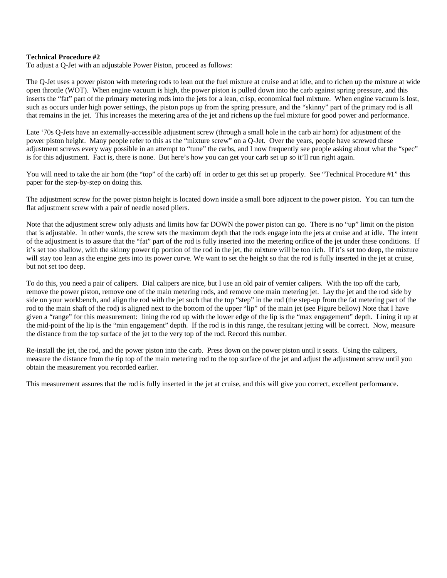#### **Technical Procedure #2**

To adjust a Q-Jet with an adjustable Power Piston, proceed as follows:

The Q-Jet uses a power piston with metering rods to lean out the fuel mixture at cruise and at idle, and to richen up the mixture at wide open throttle (WOT). When engine vacuum is high, the power piston is pulled down into the carb against spring pressure, and this inserts the "fat" part of the primary metering rods into the jets for a lean, crisp, economical fuel mixture. When engine vacuum is lost, such as occurs under high power settings, the piston pops up from the spring pressure, and the "skinny" part of the primary rod is all that remains in the jet. This increases the metering area of the jet and richens up the fuel mixture for good power and performance.

Late '70s Q-Jets have an externally-accessible adjustment screw (through a small hole in the carb air horn) for adjustment of the power piston height. Many people refer to this as the "mixture screw" on a Q-Jet. Over the years, people have screwed these adjustment screws every way possible in an attempt to "tune" the carbs, and I now frequently see people asking about what the "spec" is for this adjustment. Fact is, there is none. But here's how you can get your carb set up so it'll run right again.

You will need to take the air horn (the "top" of the carb) off in order to get this set up properly. See "Technical Procedure #1" this paper for the step-by-step on doing this.

The adjustment screw for the power piston height is located down inside a small bore adjacent to the power piston. You can turn the flat adjustment screw with a pair of needle nosed pliers.

Note that the adjustment screw only adjusts and limits how far DOWN the power piston can go. There is no "up" limit on the piston that is adjustable. In other words, the screw sets the maximum depth that the rods engage into the jets at cruise and at idle. The intent of the adjustment is to assure that the "fat" part of the rod is fully inserted into the metering orifice of the jet under these conditions. If it's set too shallow, with the skinny power tip portion of the rod in the jet, the mixture will be too rich. If it's set too deep, the mixture will stay too lean as the engine gets into its power curve. We want to set the height so that the rod is fully inserted in the jet at cruise, but not set too deep.

To do this, you need a pair of calipers. Dial calipers are nice, but I use an old pair of vernier calipers. With the top off the carb, remove the power piston, remove one of the main metering rods, and remove one main metering jet. Lay the jet and the rod side by side on your workbench, and align the rod with the jet such that the top "step" in the rod (the step-up from the fat metering part of the rod to the main shaft of the rod) is aligned next to the bottom of the upper "lip" of the main jet (see Figure bellow) Note that I have given a "range" for this measurement: lining the rod up with the lower edge of the lip is the "max engagement" depth. Lining it up at the mid-point of the lip is the "min engagement" depth. If the rod is in this range, the resultant jetting will be correct. Now, measure the distance from the top surface of the jet to the very top of the rod. Record this number.

Re-install the jet, the rod, and the power piston into the carb. Press down on the power piston until it seats. Using the calipers, measure the distance from the tip top of the main metering rod to the top surface of the jet and adjust the adjustment screw until you obtain the measurement you recorded earlier.

This measurement assures that the rod is fully inserted in the jet at cruise, and this will give you correct, excellent performance.